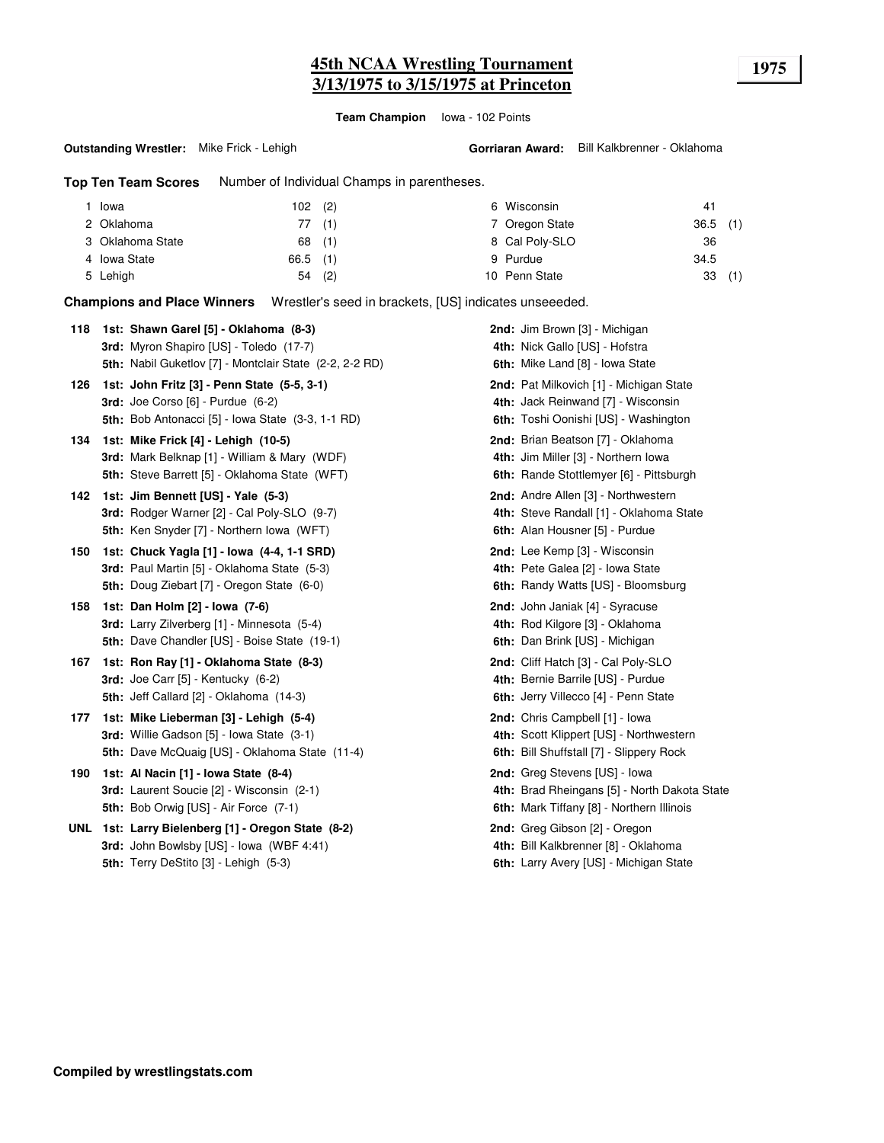## **45th NCAA Wrestling Tournament 1975 3/13/1975 to 3/15/1975 at Princeton**

**Team Champion** Iowa - 102 Points

**Gorriaran Award:** Bill Kalkbrenner - Oklahoma

**Top Ten Team Scores** Number of Individual Champs in parentheses.

| Iowa             | $102$ (2)  |     | 6 Wisconsin    | 41         |     |
|------------------|------------|-----|----------------|------------|-----|
| 2 Oklahoma       | 77(1)      |     | 7 Oregon State | $36.5$ (1) |     |
| 3 Oklahoma State | $68$ (1)   |     | 8 Cal Poly-SLO | 36         |     |
| 4 Iowa State     | $66.5$ (1) |     | 9 Purdue       | 34.5       |     |
| 5 Lehigh         | 54         | (2) | 10 Penn State  | 33         | (1) |

**Champions and Place Winners** Wrestler's seed in brackets, [US] indicates unseeeded.

| 118 | 1st: Shawn Garel [5] - Oklahoma (8-3)<br>3rd: Myron Shapiro [US] - Toledo (17-7)                                                                      | 2nd: Jim Brown [3] - Michigan<br>4th: Nick Gallo [US] - Hofstra                                                            |
|-----|-------------------------------------------------------------------------------------------------------------------------------------------------------|----------------------------------------------------------------------------------------------------------------------------|
|     | 5th: Nabil Guketlov [7] - Montclair State (2-2, 2-2 RD)                                                                                               | 6th: Mike Land [8] - Iowa State                                                                                            |
| 126 | 1st: John Fritz [3] - Penn State (5-5, 3-1)<br>$3rd:$ Joe Corso [6] - Purdue $(6-2)$<br>5th: Bob Antonacci [5] - Iowa State (3-3, 1-1 RD)             | 2nd: Pat Milkovich [1] - Michigan State<br>4th: Jack Reinwand [7] - Wisconsin<br>6th: Toshi Oonishi [US] - Washington      |
| 134 | 1st: Mike Frick [4] - Lehigh (10-5)<br>3rd: Mark Belknap [1] - William & Mary (WDF)<br><b>5th:</b> Steve Barrett [5] - Oklahoma State (WFT)           | 2nd: Brian Beatson [7] - Oklahoma<br>4th: Jim Miller [3] - Northern Iowa<br>6th: Rande Stottlemyer [6] - Pittsburgh        |
| 142 | 1st: Jim Bennett [US] - Yale (5-3)<br>3rd: Rodger Warner [2] - Cal Poly-SLO (9-7)<br>5th: Ken Snyder [7] - Northern Iowa (WFT)                        | 2nd: Andre Allen [3] - Northwestern<br>4th: Steve Randall [1] - Oklahoma State<br>6th: Alan Housner [5] - Purdue           |
| 150 | 1st: Chuck Yagla [1] - Iowa (4-4, 1-1 SRD)<br><b>3rd:</b> Paul Martin [5] - Oklahoma State (5-3)<br><b>5th:</b> Doug Ziebart [7] - Oregon State (6-0) | 2nd: Lee Kemp [3] - Wisconsin<br>4th: Pete Galea [2] - Iowa State<br>6th: Randy Watts [US] - Bloomsburg                    |
| 158 | 1st: Dan Holm [2] - Iowa (7-6)<br><b>3rd:</b> Larry Zilverberg [1] - Minnesota (5-4)<br><b>5th:</b> Dave Chandler [US] - Boise State (19-1)           | 2nd: John Janiak [4] - Syracuse<br>4th: Rod Kilgore [3] - Oklahoma<br>6th: Dan Brink [US] - Michigan                       |
| 167 | 1st: Ron Ray [1] - Oklahoma State (8-3)<br><b>3rd:</b> Joe Carr $[5]$ - Kentucky $(6-2)$<br>5th: Jeff Callard [2] - Oklahoma (14-3)                   | 2nd: Cliff Hatch [3] - Cal Poly-SLO<br>4th: Bernie Barrile [US] - Purdue<br>6th: Jerry Villecco [4] - Penn State           |
| 177 | 1st: Mike Lieberman [3] - Lehigh (5-4)<br>3rd: Willie Gadson [5] - Iowa State (3-1)<br><b>5th:</b> Dave McQuaig [US] - Oklahoma State (11-4)          | 2nd: Chris Campbell [1] - lowa<br>4th: Scott Klippert [US] - Northwestern<br>6th: Bill Shuffstall [7] - Slippery Rock      |
| 190 | 1st: Al Nacin [1] - Iowa State (8-4)<br>3rd: Laurent Soucie [2] - Wisconsin (2-1)<br>5th: Bob Orwig [US] - Air Force (7-1)                            | 2nd: Greg Stevens [US] - Iowa<br>4th: Brad Rheingans [5] - North Dakota State<br>6th: Mark Tiffany [8] - Northern Illinois |
|     | UNL 1st: Larry Bielenberg [1] - Oregon State (8-2)<br>3rd: John Bowlsby [US] - Iowa (WBF 4:41)<br>5th: Terry DeStito [3] - Lehigh (5-3)               | 2nd: Greg Gibson [2] - Oregon<br>4th: Bill Kalkbrenner [8] - Oklahoma<br>6th: Larry Avery [US] - Michigan State            |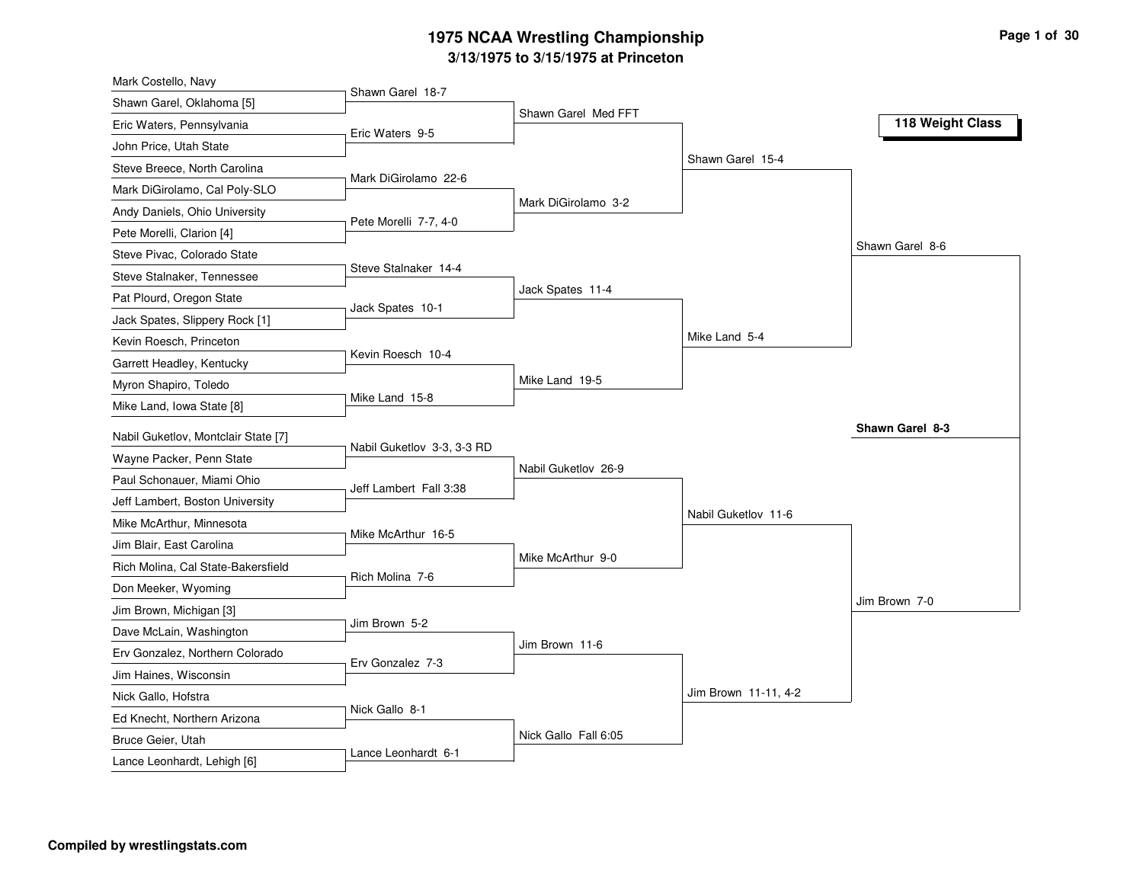| Mark Costello, Navy                                         |                            |                      |                      |                  |
|-------------------------------------------------------------|----------------------------|----------------------|----------------------|------------------|
| Shawn Garel, Oklahoma [5]                                   | Shawn Garel 18-7           |                      |                      |                  |
| Eric Waters, Pennsylvania                                   | Eric Waters 9-5            | Shawn Garel Med FFT  |                      | 118 Weight Class |
| John Price, Utah State                                      |                            |                      |                      |                  |
| Steve Breece, North Carolina                                |                            |                      | Shawn Garel 15-4     |                  |
| Mark DiGirolamo, Cal Poly-SLO                               | Mark DiGirolamo 22-6       |                      |                      |                  |
| Andy Daniels, Ohio University                               |                            | Mark DiGirolamo 3-2  |                      |                  |
| Pete Morelli, Clarion [4]                                   | Pete Morelli 7-7, 4-0      |                      |                      |                  |
| Steve Pivac, Colorado State                                 |                            |                      |                      | Shawn Garel 8-6  |
| Steve Stalnaker, Tennessee                                  | Steve Stalnaker 14-4       |                      |                      |                  |
| Pat Plourd, Oregon State                                    |                            | Jack Spates 11-4     |                      |                  |
| Jack Spates, Slippery Rock [1]                              | Jack Spates 10-1           |                      |                      |                  |
| Kevin Roesch, Princeton                                     |                            |                      | Mike Land 5-4        |                  |
| Garrett Headley, Kentucky                                   | Kevin Roesch 10-4          |                      |                      |                  |
| Myron Shapiro, Toledo                                       |                            | Mike Land 19-5       |                      |                  |
| Mike Land, Iowa State [8]                                   | Mike Land 15-8             |                      |                      |                  |
| Nabil Guketlov, Montclair State [7]                         |                            |                      |                      | Shawn Garel 8-3  |
| Wayne Packer, Penn State                                    | Nabil Guketlov 3-3, 3-3 RD |                      |                      |                  |
|                                                             |                            | Nabil Guketlov 26-9  |                      |                  |
| Paul Schonauer, Miami Ohio                                  | Jeff Lambert Fall 3:38     |                      |                      |                  |
| Jeff Lambert, Boston University<br>Mike McArthur, Minnesota |                            |                      | Nabil Guketlov 11-6  |                  |
|                                                             | Mike McArthur 16-5         |                      |                      |                  |
| Jim Blair, East Carolina                                    |                            | Mike McArthur 9-0    |                      |                  |
| Rich Molina, Cal State-Bakersfield                          | Rich Molina 7-6            |                      |                      |                  |
| Don Meeker, Wyoming                                         |                            |                      |                      | Jim Brown 7-0    |
| Jim Brown, Michigan [3]                                     | Jim Brown 5-2              |                      |                      |                  |
| Dave McLain, Washington                                     |                            | Jim Brown 11-6       |                      |                  |
| Erv Gonzalez, Northern Colorado                             | Erv Gonzalez 7-3           |                      |                      |                  |
| Jim Haines, Wisconsin                                       |                            |                      | Jim Brown 11-11, 4-2 |                  |
| Nick Gallo, Hofstra                                         | Nick Gallo 8-1             |                      |                      |                  |
| Ed Knecht, Northern Arizona                                 |                            | Nick Gallo Fall 6:05 |                      |                  |
| Bruce Geier, Utah                                           | Lance Leonhardt 6-1        |                      |                      |                  |
| Lance Leonhardt, Lehigh [6]                                 |                            |                      |                      |                  |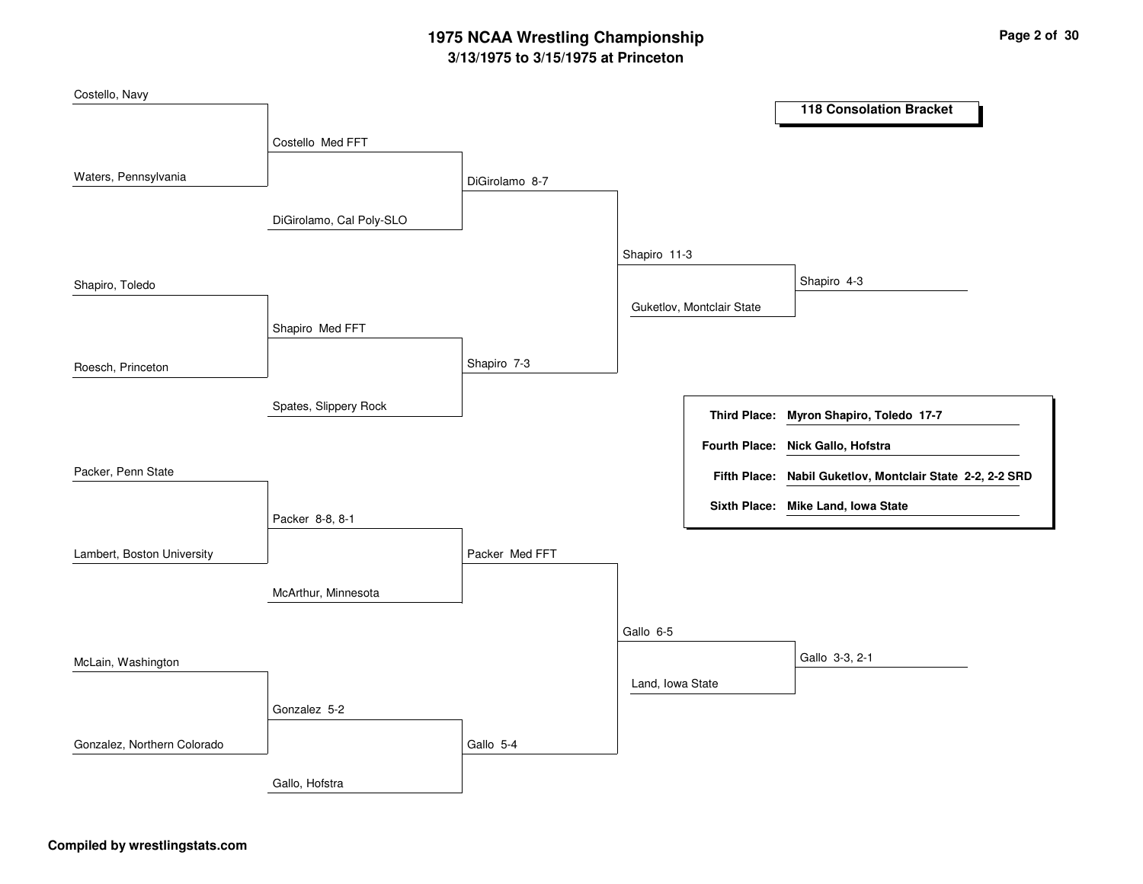| Costello, Navy              |                          |                |                  |                           |                                                           |
|-----------------------------|--------------------------|----------------|------------------|---------------------------|-----------------------------------------------------------|
|                             |                          |                |                  |                           | <b>118 Consolation Bracket</b>                            |
|                             | Costello Med FFT         |                |                  |                           |                                                           |
|                             |                          |                |                  |                           |                                                           |
| Waters, Pennsylvania        |                          | DiGirolamo 8-7 |                  |                           |                                                           |
|                             |                          |                |                  |                           |                                                           |
|                             | DiGirolamo, Cal Poly-SLO |                |                  |                           |                                                           |
|                             |                          |                | Shapiro 11-3     |                           |                                                           |
| Shapiro, Toledo             |                          |                |                  |                           | Shapiro 4-3                                               |
|                             |                          |                |                  | Guketlov, Montclair State |                                                           |
|                             | Shapiro Med FFT          |                |                  |                           |                                                           |
|                             |                          |                |                  |                           |                                                           |
| Roesch, Princeton           |                          | Shapiro 7-3    |                  |                           |                                                           |
|                             |                          |                |                  |                           |                                                           |
|                             | Spates, Slippery Rock    |                |                  |                           | Third Place: Myron Shapiro, Toledo 17-7                   |
|                             |                          |                |                  |                           | Fourth Place: Nick Gallo, Hofstra                         |
| Packer, Penn State          |                          |                |                  |                           |                                                           |
|                             |                          |                |                  |                           | Fifth Place: Nabil Guketlov, Montclair State 2-2, 2-2 SRD |
|                             | Packer 8-8, 8-1          |                |                  |                           | Sixth Place: Mike Land, Iowa State                        |
|                             |                          |                |                  |                           |                                                           |
| Lambert, Boston University  |                          | Packer Med FFT |                  |                           |                                                           |
|                             |                          |                |                  |                           |                                                           |
|                             | McArthur, Minnesota      |                |                  |                           |                                                           |
|                             |                          |                | Gallo 6-5        |                           |                                                           |
|                             |                          |                |                  |                           |                                                           |
| McLain, Washington          |                          |                |                  |                           | Gallo 3-3, 2-1                                            |
|                             |                          |                | Land, Iowa State |                           |                                                           |
|                             | Gonzalez 5-2             |                |                  |                           |                                                           |
| Gonzalez, Northern Colorado |                          | Gallo 5-4      |                  |                           |                                                           |
|                             |                          |                |                  |                           |                                                           |
|                             | Gallo, Hofstra           |                |                  |                           |                                                           |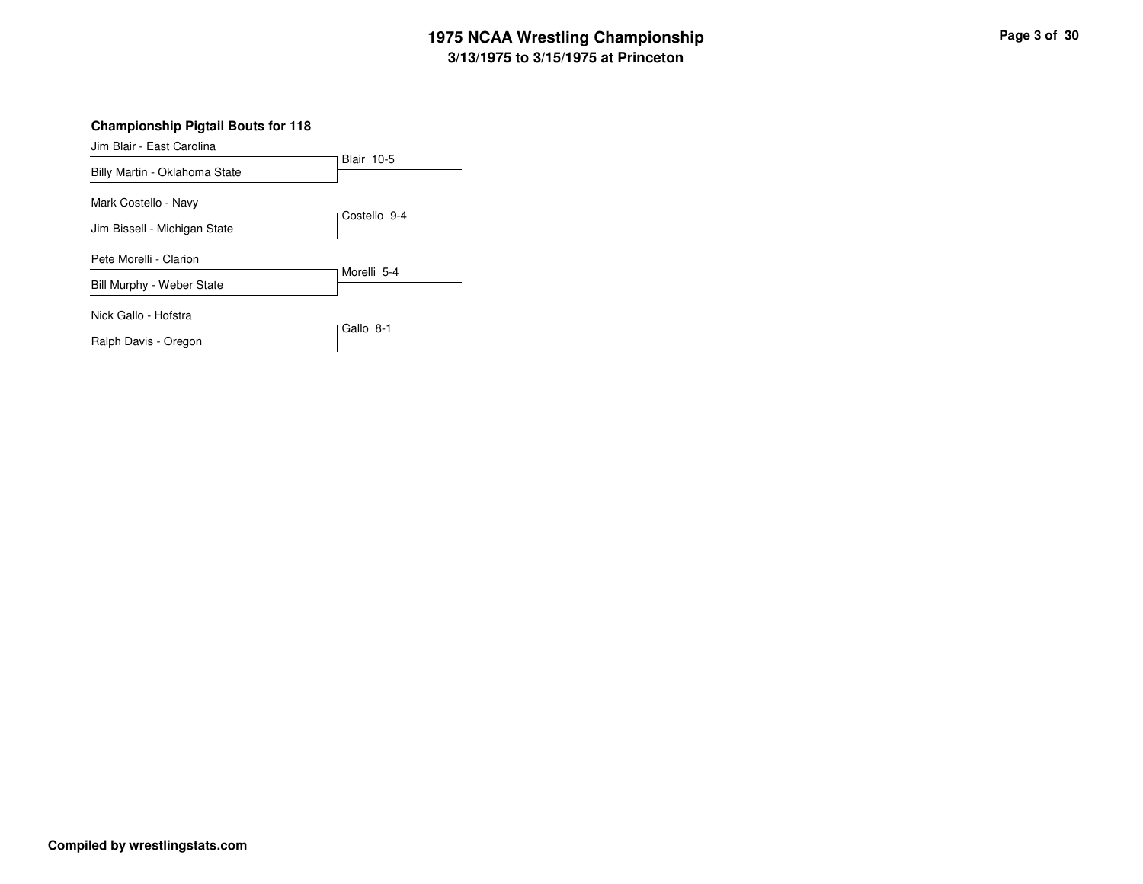| Jim Blair - East Carolina     |                   |
|-------------------------------|-------------------|
|                               | <b>Blair 10-5</b> |
| Billy Martin - Oklahoma State |                   |
| Mark Costello - Navy          |                   |
|                               | Costello 9-4      |
| Jim Bissell - Michigan State  |                   |
| Pete Morelli - Clarion        |                   |
| Bill Murphy - Weber State     | Morelli 5-4       |
| Nick Gallo - Hofstra          |                   |
|                               | Gallo 8-1         |
| Ralph Davis - Oregon          |                   |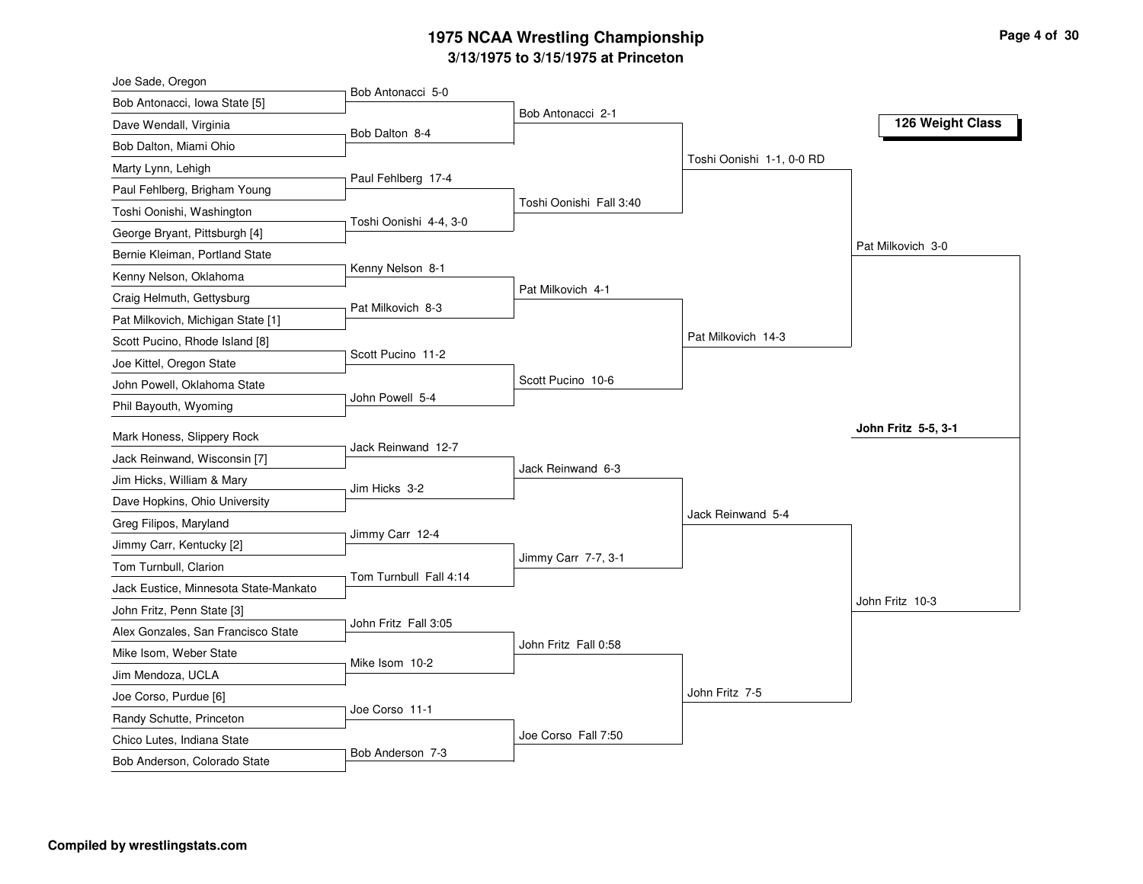| Joe Sade, Oregon                                       |                        |                         |                           |                     |
|--------------------------------------------------------|------------------------|-------------------------|---------------------------|---------------------|
| Bob Antonacci, Iowa State [5]                          | Bob Antonacci 5-0      | Bob Antonacci 2-1       |                           |                     |
| Dave Wendall, Virginia                                 | Bob Dalton 8-4         |                         |                           | 126 Weight Class    |
| Bob Dalton, Miami Ohio                                 |                        |                         |                           |                     |
| Marty Lynn, Lehigh                                     |                        |                         | Toshi Oonishi 1-1, 0-0 RD |                     |
| Paul Fehlberg, Brigham Young                           | Paul Fehlberg 17-4     |                         |                           |                     |
| Toshi Oonishi, Washington                              |                        | Toshi Oonishi Fall 3:40 |                           |                     |
| George Bryant, Pittsburgh [4]                          | Toshi Oonishi 4-4, 3-0 |                         |                           |                     |
| Bernie Kleiman, Portland State                         |                        |                         |                           | Pat Milkovich 3-0   |
| Kenny Nelson, Oklahoma                                 | Kenny Nelson 8-1       |                         |                           |                     |
| Craig Helmuth, Gettysburg                              |                        | Pat Milkovich 4-1       |                           |                     |
| Pat Milkovich, Michigan State [1]                      | Pat Milkovich 8-3      |                         |                           |                     |
| Scott Pucino, Rhode Island [8]                         |                        |                         | Pat Milkovich 14-3        |                     |
| Joe Kittel, Oregon State                               | Scott Pucino 11-2      |                         |                           |                     |
| John Powell, Oklahoma State                            |                        | Scott Pucino 10-6       |                           |                     |
| Phil Bayouth, Wyoming                                  | John Powell 5-4        |                         |                           |                     |
| Mark Honess, Slippery Rock                             |                        |                         |                           | John Fritz 5-5, 3-1 |
| Jack Reinwand, Wisconsin [7]                           | Jack Reinwand 12-7     |                         |                           |                     |
| Jim Hicks, William & Mary                              |                        | Jack Reinwand 6-3       |                           |                     |
| Dave Hopkins, Ohio University                          | Jim Hicks 3-2          |                         |                           |                     |
| Greg Filipos, Maryland                                 |                        |                         | Jack Reinwand 5-4         |                     |
| Jimmy Carr, Kentucky [2]                               | Jimmy Carr 12-4        |                         |                           |                     |
| Tom Turnbull, Clarion                                  |                        | Jimmy Carr 7-7, 3-1     |                           |                     |
| Jack Eustice, Minnesota State-Mankato                  | Tom Turnbull Fall 4:14 |                         |                           |                     |
| John Fritz, Penn State [3]                             |                        |                         |                           | John Fritz 10-3     |
| Alex Gonzales, San Francisco State                     | John Fritz Fall 3:05   |                         |                           |                     |
| Mike Isom, Weber State                                 |                        | John Fritz Fall 0:58    |                           |                     |
| Jim Mendoza, UCLA                                      | Mike Isom 10-2         |                         |                           |                     |
| Joe Corso, Purdue [6]                                  |                        |                         | John Fritz 7-5            |                     |
|                                                        | Joe Corso 11-1         |                         |                           |                     |
| Randy Schutte, Princeton<br>Chico Lutes, Indiana State |                        | Joe Corso Fall 7:50     |                           |                     |
| Bob Anderson, Colorado State                           | Bob Anderson 7-3       |                         |                           |                     |
|                                                        |                        |                         |                           |                     |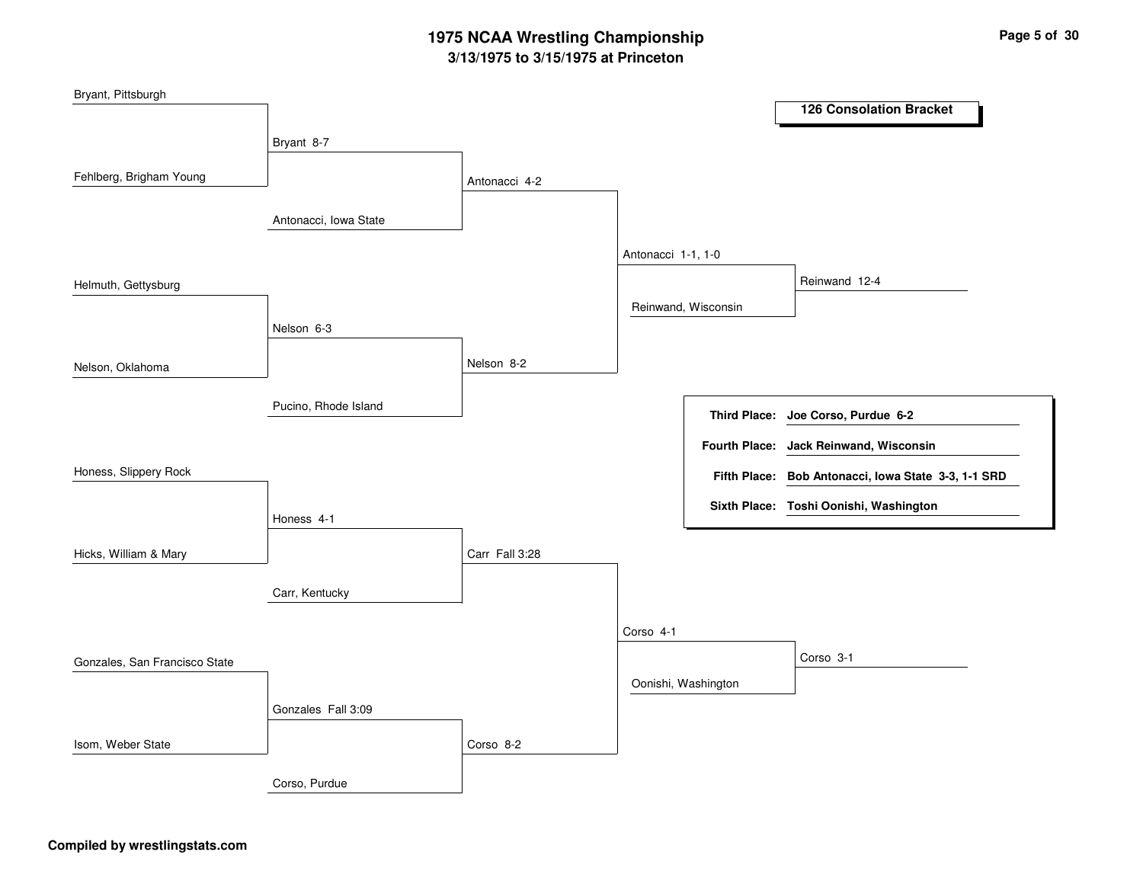| Bryant, Pittsburgh            |                       |                |                    |                     |                                                     |
|-------------------------------|-----------------------|----------------|--------------------|---------------------|-----------------------------------------------------|
|                               |                       |                |                    |                     | <b>126 Consolation Bracket</b>                      |
|                               | Bryant 8-7            |                |                    |                     |                                                     |
| Fehlberg, Brigham Young       |                       | Antonacci 4-2  |                    |                     |                                                     |
|                               |                       |                |                    |                     |                                                     |
|                               | Antonacci, Iowa State |                |                    |                     |                                                     |
|                               |                       |                | Antonacci 1-1, 1-0 |                     |                                                     |
| Helmuth, Gettysburg           |                       |                |                    |                     | Reinwand 12-4                                       |
|                               |                       |                |                    | Reinwand, Wisconsin |                                                     |
|                               | Nelson 6-3            |                |                    |                     |                                                     |
| Nelson, Oklahoma              |                       | Nelson 8-2     |                    |                     |                                                     |
|                               |                       |                |                    |                     |                                                     |
|                               | Pucino, Rhode Island  |                |                    |                     | Third Place: Joe Corso, Purdue 6-2                  |
|                               |                       |                |                    |                     | Fourth Place: Jack Reinwand, Wisconsin              |
| Honess, Slippery Rock         |                       |                |                    |                     | Fifth Place: Bob Antonacci, Iowa State 3-3, 1-1 SRD |
|                               |                       |                |                    |                     | Sixth Place: Toshi Oonishi, Washington              |
|                               | Honess 4-1            |                |                    |                     |                                                     |
| Hicks, William & Mary         |                       | Carr Fall 3:28 |                    |                     |                                                     |
|                               |                       |                |                    |                     |                                                     |
|                               | Carr, Kentucky        |                |                    |                     |                                                     |
|                               |                       |                | Corso 4-1          |                     |                                                     |
| Gonzales, San Francisco State |                       |                |                    |                     | Corso 3-1                                           |
|                               |                       |                |                    | Oonishi, Washington |                                                     |
|                               | Gonzales Fall 3:09    |                |                    |                     |                                                     |
|                               |                       |                |                    |                     |                                                     |
| Isom, Weber State             |                       | Corso 8-2      |                    |                     |                                                     |
|                               | Corso, Purdue         |                |                    |                     |                                                     |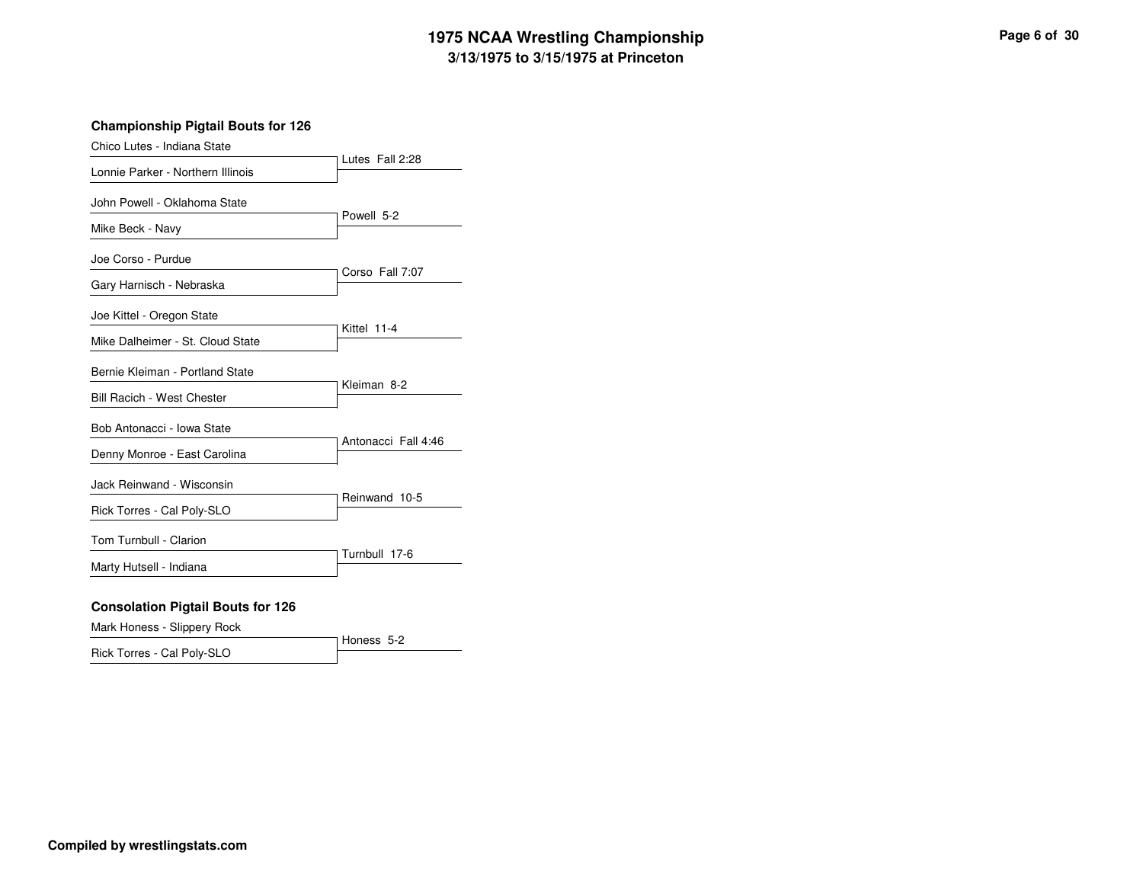**Championship Pigtail Bouts for 126**

| Chico Lutes - Indiana State              |                     |
|------------------------------------------|---------------------|
| Lonnie Parker - Northern Illinois        | Lutes Fall 2:28     |
| John Powell - Oklahoma State             |                     |
| Mike Beck - Navy                         | Powell 5-2          |
| Joe Corso - Purdue                       |                     |
| Gary Harnisch - Nebraska                 | Corso Fall 7:07     |
| Joe Kittel - Oregon State                |                     |
| Mike Dalheimer - St. Cloud State         | Kittel 11-4         |
| Bernie Kleiman - Portland State          |                     |
| <b>Bill Racich - West Chester</b>        | Kleiman 8-2         |
| Bob Antonacci - Iowa State               |                     |
| Denny Monroe - East Carolina             | Antonacci Fall 4:46 |
| Jack Reinwand - Wisconsin                |                     |
| Rick Torres - Cal Poly-SLO               | Reinwand 10-5       |
| Tom Turnbull - Clarion                   |                     |
| Marty Hutsell - Indiana                  | Turnbull 17-6       |
| <b>Consolation Pigtail Bouts for 126</b> |                     |
| Mark Honess - Slippery Rock              |                     |
|                                          | Honess 5-2          |

Rick Torres - Cal Poly-SLO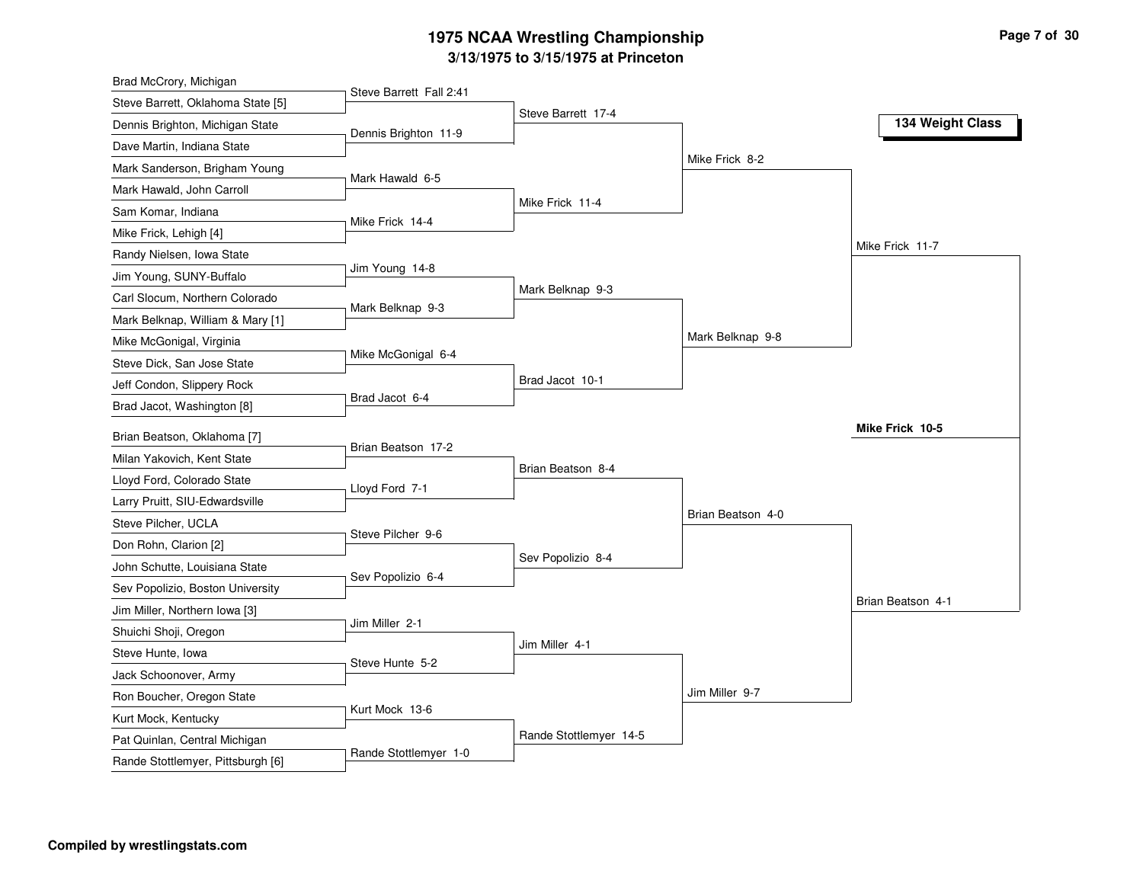| Brad McCrory, Michigan            |                         |                        |                   |                   |
|-----------------------------------|-------------------------|------------------------|-------------------|-------------------|
| Steve Barrett, Oklahoma State [5] | Steve Barrett Fall 2:41 |                        |                   |                   |
| Dennis Brighton, Michigan State   | Dennis Brighton 11-9    | Steve Barrett 17-4     |                   | 134 Weight Class  |
| Dave Martin, Indiana State        |                         |                        |                   |                   |
| Mark Sanderson, Brigham Young     |                         |                        | Mike Frick 8-2    |                   |
| Mark Hawald, John Carroll         | Mark Hawald 6-5         |                        |                   |                   |
| Sam Komar, Indiana                |                         | Mike Frick 11-4        |                   |                   |
| Mike Frick, Lehigh [4]            | Mike Frick 14-4         |                        |                   |                   |
| Randy Nielsen, Iowa State         |                         |                        |                   | Mike Frick 11-7   |
| Jim Young, SUNY-Buffalo           | Jim Young 14-8          |                        |                   |                   |
| Carl Slocum, Northern Colorado    |                         | Mark Belknap 9-3       |                   |                   |
| Mark Belknap, William & Mary [1]  | Mark Belknap 9-3        |                        |                   |                   |
| Mike McGonigal, Virginia          |                         |                        | Mark Belknap 9-8  |                   |
| Steve Dick, San Jose State        | Mike McGonigal 6-4      |                        |                   |                   |
| Jeff Condon, Slippery Rock        |                         | Brad Jacot 10-1        |                   |                   |
| Brad Jacot, Washington [8]        | Brad Jacot 6-4          |                        |                   |                   |
| Brian Beatson, Oklahoma [7]       |                         |                        |                   | Mike Frick 10-5   |
| Milan Yakovich, Kent State        | Brian Beatson 17-2      |                        |                   |                   |
| Lloyd Ford, Colorado State        |                         | Brian Beatson 8-4      |                   |                   |
| Larry Pruitt, SIU-Edwardsville    | Lloyd Ford 7-1          |                        |                   |                   |
| Steve Pilcher, UCLA               |                         |                        | Brian Beatson 4-0 |                   |
| Don Rohn, Clarion [2]             | Steve Pilcher 9-6       |                        |                   |                   |
| John Schutte, Louisiana State     |                         | Sev Popolizio 8-4      |                   |                   |
| Sev Popolizio, Boston University  | Sev Popolizio 6-4       |                        |                   |                   |
| Jim Miller, Northern Iowa [3]     |                         |                        |                   | Brian Beatson 4-1 |
| Shuichi Shoji, Oregon             | Jim Miller 2-1          |                        |                   |                   |
| Steve Hunte, Iowa                 |                         | Jim Miller 4-1         |                   |                   |
| Jack Schoonover, Army             | Steve Hunte 5-2         |                        |                   |                   |
| Ron Boucher, Oregon State         |                         |                        | Jim Miller 9-7    |                   |
| Kurt Mock, Kentucky               | Kurt Mock 13-6          |                        |                   |                   |
| Pat Quinlan, Central Michigan     |                         | Rande Stottlemyer 14-5 |                   |                   |
|                                   |                         |                        |                   |                   |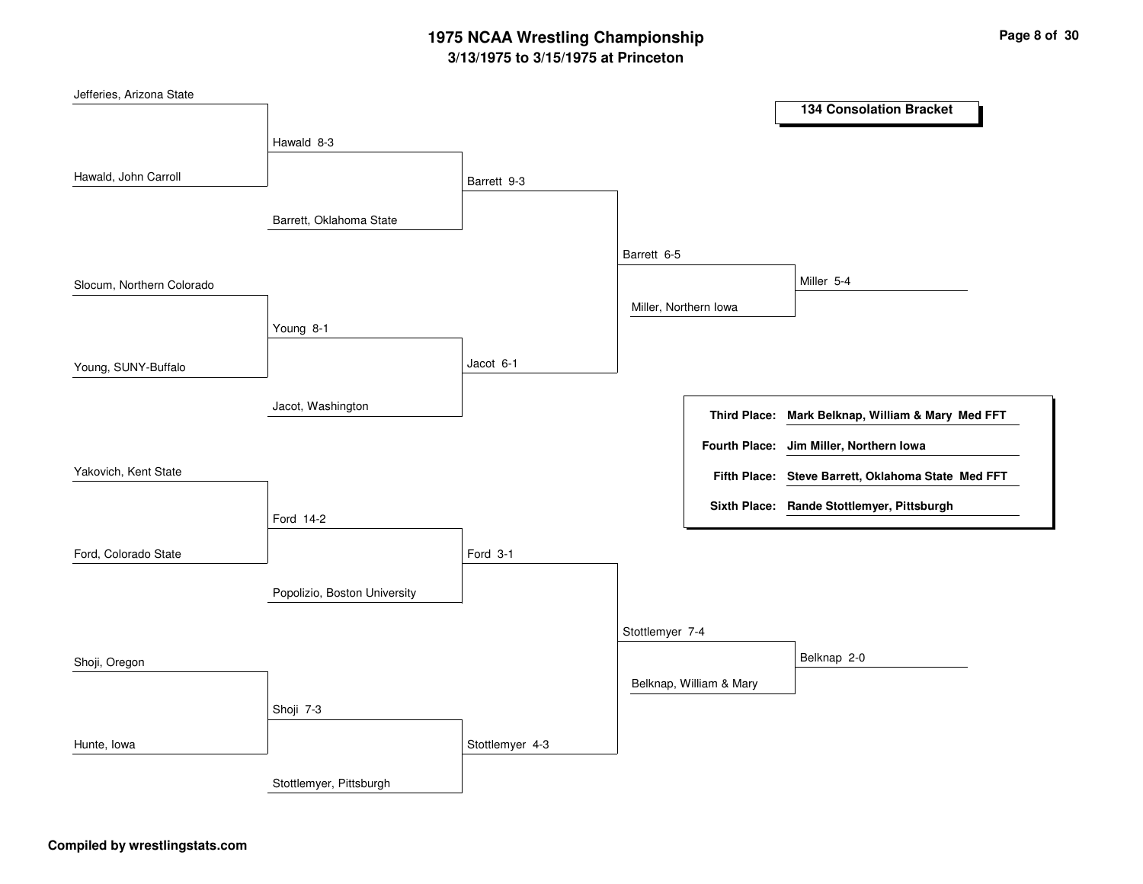| Jefferies, Arizona State  |                              |                 |                 |                         |                                                    |
|---------------------------|------------------------------|-----------------|-----------------|-------------------------|----------------------------------------------------|
|                           |                              |                 |                 |                         | <b>134 Consolation Bracket</b>                     |
|                           | Hawald 8-3                   |                 |                 |                         |                                                    |
|                           |                              |                 |                 |                         |                                                    |
| Hawald, John Carroll      |                              | Barrett 9-3     |                 |                         |                                                    |
|                           | Barrett, Oklahoma State      |                 |                 |                         |                                                    |
|                           |                              |                 |                 |                         |                                                    |
|                           |                              |                 | Barrett 6-5     |                         |                                                    |
| Slocum, Northern Colorado |                              |                 |                 |                         | Miller 5-4                                         |
|                           |                              |                 |                 | Miller, Northern Iowa   |                                                    |
|                           | Young 8-1                    |                 |                 |                         |                                                    |
|                           |                              |                 |                 |                         |                                                    |
| Young, SUNY-Buffalo       |                              | Jacot 6-1       |                 |                         |                                                    |
|                           |                              |                 |                 |                         |                                                    |
|                           | Jacot, Washington            |                 |                 |                         | Third Place: Mark Belknap, William & Mary Med FFT  |
|                           |                              |                 |                 |                         | Fourth Place: Jim Miller, Northern Iowa            |
| Yakovich, Kent State      |                              |                 |                 |                         |                                                    |
|                           |                              |                 |                 |                         | Fifth Place: Steve Barrett, Oklahoma State Med FFT |
|                           | Ford 14-2                    |                 |                 |                         | Sixth Place: Rande Stottlemyer, Pittsburgh         |
|                           |                              |                 |                 |                         |                                                    |
| Ford, Colorado State      |                              | Ford 3-1        |                 |                         |                                                    |
|                           |                              |                 |                 |                         |                                                    |
|                           | Popolizio, Boston University |                 |                 |                         |                                                    |
|                           |                              |                 | Stottlemyer 7-4 |                         |                                                    |
|                           |                              |                 |                 |                         | Belknap 2-0                                        |
| Shoji, Oregon             |                              |                 |                 |                         |                                                    |
|                           |                              |                 |                 | Belknap, William & Mary |                                                    |
|                           | Shoji 7-3                    |                 |                 |                         |                                                    |
| Hunte, Iowa               |                              | Stottlemyer 4-3 |                 |                         |                                                    |
|                           |                              |                 |                 |                         |                                                    |
|                           | Stottlemyer, Pittsburgh      |                 |                 |                         |                                                    |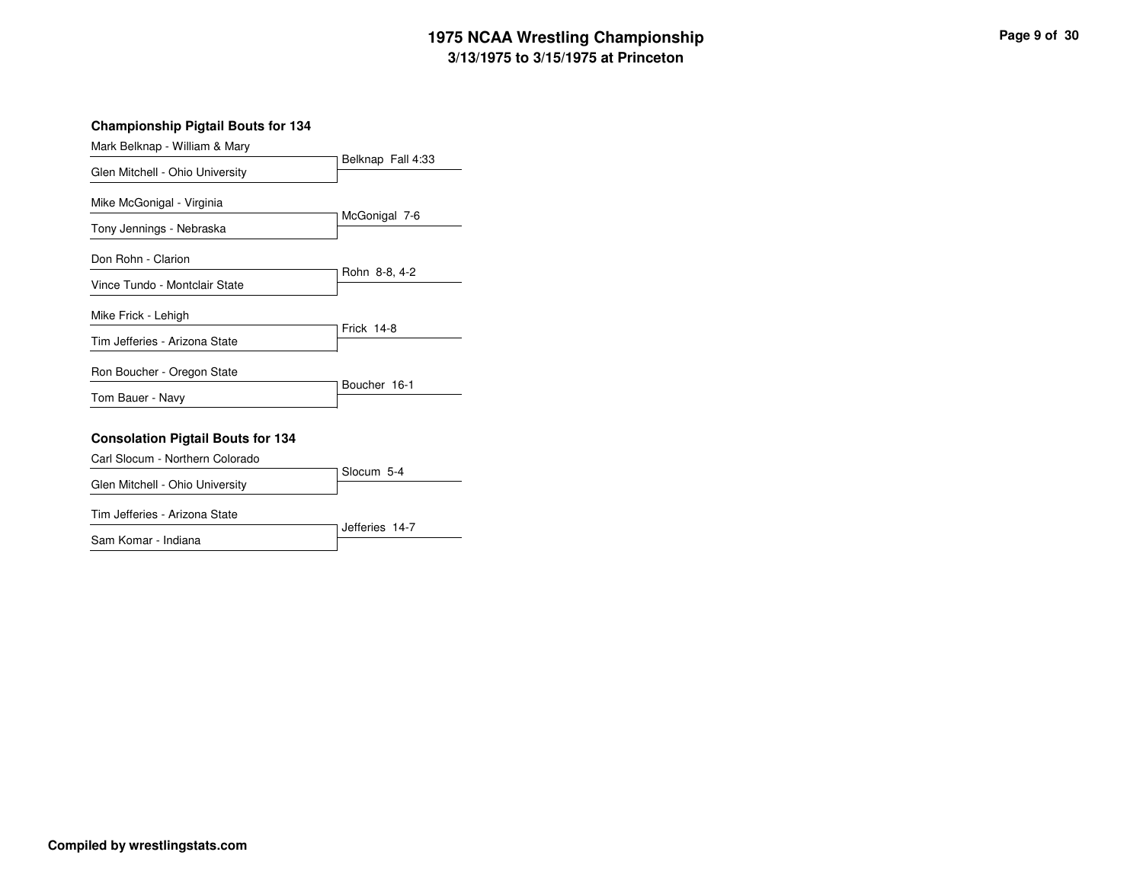### **Championship Pigtail Bouts for 134**

| Mark Belknap - William & Mary   |                   |  |  |
|---------------------------------|-------------------|--|--|
| Glen Mitchell - Ohio University | Belknap Fall 4:33 |  |  |
| Mike McGonigal - Virginia       |                   |  |  |
| Tony Jennings - Nebraska        | McGonigal 7-6     |  |  |
| Don Rohn - Clarion              |                   |  |  |
| Vince Tundo - Montclair State   | Rohn 8-8, 4-2     |  |  |
| Mike Frick - Lehigh             |                   |  |  |
| Tim Jefferies - Arizona State   | Frick 14-8        |  |  |
| Ron Boucher - Oregon State      |                   |  |  |
| Tom Bauer - Navy                | Boucher 16-1      |  |  |
|                                 |                   |  |  |

### **Consolation Pigtail Bouts for 134**

| Carl Slocum - Northern Colorado |                |
|---------------------------------|----------------|
|                                 | Slocum 5-4     |
| Glen Mitchell - Ohio University |                |
| Tim Jefferies - Arizona State   |                |
|                                 | Jefferies 14-7 |
| Sam Komar - Indiana             |                |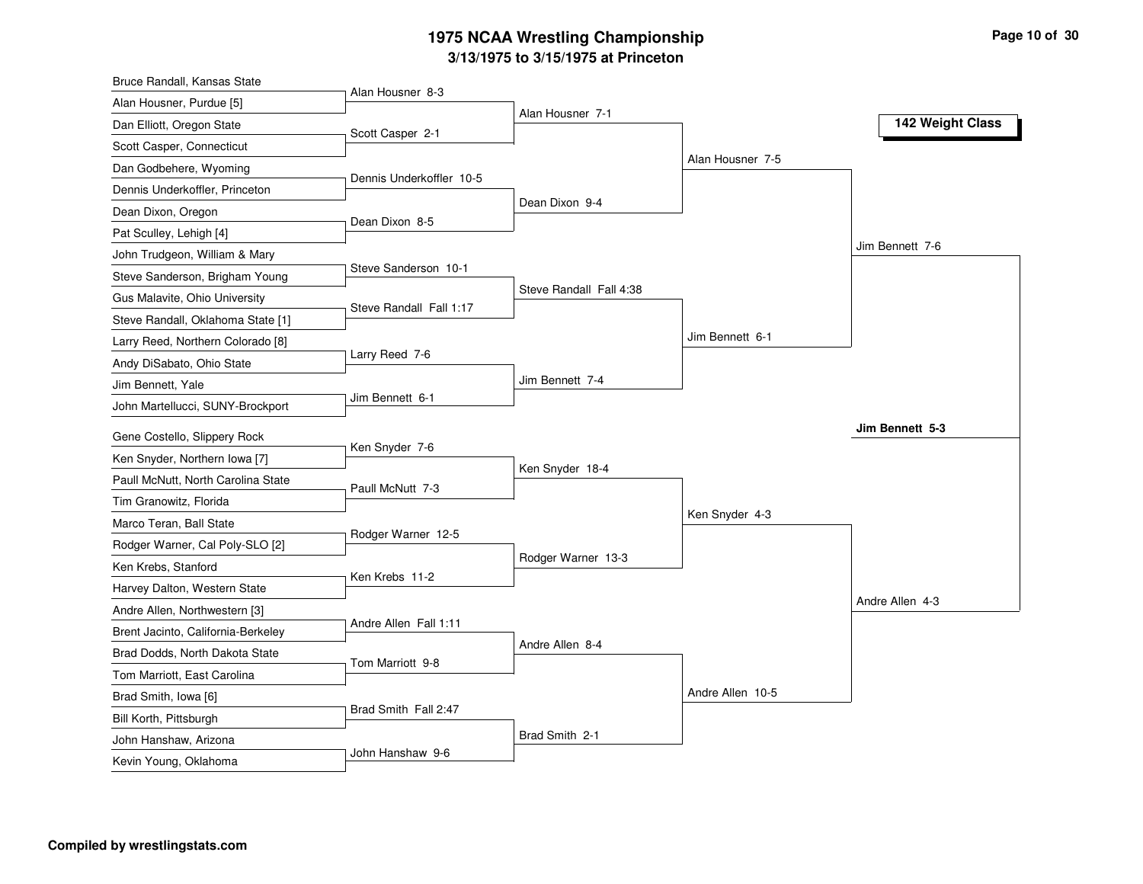| Alan Housner 8-3<br>Alan Housner, Purdue [5]<br>Alan Housner 7-1<br>142 Weight Class<br>Dan Elliott, Oregon State<br>Scott Casper 2-1<br>Scott Casper, Connecticut<br>Alan Housner 7-5<br>Dan Godbehere, Wyoming<br>Dennis Underkoffler 10-5<br>Dennis Underkoffler, Princeton<br>Dean Dixon 9-4<br>Dean Dixon, Oregon<br>Dean Dixon 8-5<br>Pat Sculley, Lehigh [4]<br>Jim Bennett 7-6<br>John Trudgeon, William & Mary<br>Steve Sanderson 10-1<br>Steve Sanderson, Brigham Young<br>Steve Randall Fall 4:38<br>Gus Malavite, Ohio University<br>Steve Randall Fall 1:17<br>Steve Randall, Oklahoma State [1]<br>Jim Bennett 6-1<br>Larry Reed, Northern Colorado [8]<br>Larry Reed 7-6<br>Andy DiSabato, Ohio State<br>Jim Bennett 7-4<br>Jim Bennett, Yale<br>Jim Bennett 6-1<br>John Martellucci, SUNY-Brockport<br>Jim Bennett 5-3<br>Gene Costello, Slippery Rock<br>Ken Snyder 7-6<br>Ken Snyder, Northern Iowa [7]<br>Ken Snyder 18-4<br>Paull McNutt, North Carolina State<br>Paull McNutt 7-3<br>Tim Granowitz, Florida<br>Ken Snyder 4-3<br>Marco Teran, Ball State<br>Rodger Warner 12-5<br>Rodger Warner, Cal Poly-SLO [2]<br>Rodger Warner 13-3<br>Ken Krebs, Stanford<br>Ken Krebs 11-2<br>Harvey Dalton, Western State<br>Andre Allen 4-3<br>Andre Allen, Northwestern [3] | Bruce Randall, Kansas State |                       |  |  |
|-------------------------------------------------------------------------------------------------------------------------------------------------------------------------------------------------------------------------------------------------------------------------------------------------------------------------------------------------------------------------------------------------------------------------------------------------------------------------------------------------------------------------------------------------------------------------------------------------------------------------------------------------------------------------------------------------------------------------------------------------------------------------------------------------------------------------------------------------------------------------------------------------------------------------------------------------------------------------------------------------------------------------------------------------------------------------------------------------------------------------------------------------------------------------------------------------------------------------------------------------------------------------------------------|-----------------------------|-----------------------|--|--|
|                                                                                                                                                                                                                                                                                                                                                                                                                                                                                                                                                                                                                                                                                                                                                                                                                                                                                                                                                                                                                                                                                                                                                                                                                                                                                           |                             |                       |  |  |
|                                                                                                                                                                                                                                                                                                                                                                                                                                                                                                                                                                                                                                                                                                                                                                                                                                                                                                                                                                                                                                                                                                                                                                                                                                                                                           |                             |                       |  |  |
|                                                                                                                                                                                                                                                                                                                                                                                                                                                                                                                                                                                                                                                                                                                                                                                                                                                                                                                                                                                                                                                                                                                                                                                                                                                                                           |                             |                       |  |  |
|                                                                                                                                                                                                                                                                                                                                                                                                                                                                                                                                                                                                                                                                                                                                                                                                                                                                                                                                                                                                                                                                                                                                                                                                                                                                                           |                             |                       |  |  |
|                                                                                                                                                                                                                                                                                                                                                                                                                                                                                                                                                                                                                                                                                                                                                                                                                                                                                                                                                                                                                                                                                                                                                                                                                                                                                           |                             |                       |  |  |
|                                                                                                                                                                                                                                                                                                                                                                                                                                                                                                                                                                                                                                                                                                                                                                                                                                                                                                                                                                                                                                                                                                                                                                                                                                                                                           |                             |                       |  |  |
|                                                                                                                                                                                                                                                                                                                                                                                                                                                                                                                                                                                                                                                                                                                                                                                                                                                                                                                                                                                                                                                                                                                                                                                                                                                                                           |                             |                       |  |  |
|                                                                                                                                                                                                                                                                                                                                                                                                                                                                                                                                                                                                                                                                                                                                                                                                                                                                                                                                                                                                                                                                                                                                                                                                                                                                                           |                             |                       |  |  |
|                                                                                                                                                                                                                                                                                                                                                                                                                                                                                                                                                                                                                                                                                                                                                                                                                                                                                                                                                                                                                                                                                                                                                                                                                                                                                           |                             |                       |  |  |
|                                                                                                                                                                                                                                                                                                                                                                                                                                                                                                                                                                                                                                                                                                                                                                                                                                                                                                                                                                                                                                                                                                                                                                                                                                                                                           |                             |                       |  |  |
|                                                                                                                                                                                                                                                                                                                                                                                                                                                                                                                                                                                                                                                                                                                                                                                                                                                                                                                                                                                                                                                                                                                                                                                                                                                                                           |                             |                       |  |  |
|                                                                                                                                                                                                                                                                                                                                                                                                                                                                                                                                                                                                                                                                                                                                                                                                                                                                                                                                                                                                                                                                                                                                                                                                                                                                                           |                             |                       |  |  |
|                                                                                                                                                                                                                                                                                                                                                                                                                                                                                                                                                                                                                                                                                                                                                                                                                                                                                                                                                                                                                                                                                                                                                                                                                                                                                           |                             |                       |  |  |
|                                                                                                                                                                                                                                                                                                                                                                                                                                                                                                                                                                                                                                                                                                                                                                                                                                                                                                                                                                                                                                                                                                                                                                                                                                                                                           |                             |                       |  |  |
|                                                                                                                                                                                                                                                                                                                                                                                                                                                                                                                                                                                                                                                                                                                                                                                                                                                                                                                                                                                                                                                                                                                                                                                                                                                                                           |                             |                       |  |  |
|                                                                                                                                                                                                                                                                                                                                                                                                                                                                                                                                                                                                                                                                                                                                                                                                                                                                                                                                                                                                                                                                                                                                                                                                                                                                                           |                             |                       |  |  |
|                                                                                                                                                                                                                                                                                                                                                                                                                                                                                                                                                                                                                                                                                                                                                                                                                                                                                                                                                                                                                                                                                                                                                                                                                                                                                           |                             |                       |  |  |
|                                                                                                                                                                                                                                                                                                                                                                                                                                                                                                                                                                                                                                                                                                                                                                                                                                                                                                                                                                                                                                                                                                                                                                                                                                                                                           |                             |                       |  |  |
|                                                                                                                                                                                                                                                                                                                                                                                                                                                                                                                                                                                                                                                                                                                                                                                                                                                                                                                                                                                                                                                                                                                                                                                                                                                                                           |                             |                       |  |  |
|                                                                                                                                                                                                                                                                                                                                                                                                                                                                                                                                                                                                                                                                                                                                                                                                                                                                                                                                                                                                                                                                                                                                                                                                                                                                                           |                             |                       |  |  |
|                                                                                                                                                                                                                                                                                                                                                                                                                                                                                                                                                                                                                                                                                                                                                                                                                                                                                                                                                                                                                                                                                                                                                                                                                                                                                           |                             |                       |  |  |
|                                                                                                                                                                                                                                                                                                                                                                                                                                                                                                                                                                                                                                                                                                                                                                                                                                                                                                                                                                                                                                                                                                                                                                                                                                                                                           |                             |                       |  |  |
|                                                                                                                                                                                                                                                                                                                                                                                                                                                                                                                                                                                                                                                                                                                                                                                                                                                                                                                                                                                                                                                                                                                                                                                                                                                                                           |                             |                       |  |  |
|                                                                                                                                                                                                                                                                                                                                                                                                                                                                                                                                                                                                                                                                                                                                                                                                                                                                                                                                                                                                                                                                                                                                                                                                                                                                                           |                             |                       |  |  |
|                                                                                                                                                                                                                                                                                                                                                                                                                                                                                                                                                                                                                                                                                                                                                                                                                                                                                                                                                                                                                                                                                                                                                                                                                                                                                           |                             | Andre Allen Fall 1:11 |  |  |
| Brent Jacinto, California-Berkeley<br>Andre Allen 8-4<br>Brad Dodds, North Dakota State                                                                                                                                                                                                                                                                                                                                                                                                                                                                                                                                                                                                                                                                                                                                                                                                                                                                                                                                                                                                                                                                                                                                                                                                   |                             |                       |  |  |
| Tom Marriott 9-8                                                                                                                                                                                                                                                                                                                                                                                                                                                                                                                                                                                                                                                                                                                                                                                                                                                                                                                                                                                                                                                                                                                                                                                                                                                                          |                             |                       |  |  |
| Tom Marriott, East Carolina<br>Andre Allen 10-5                                                                                                                                                                                                                                                                                                                                                                                                                                                                                                                                                                                                                                                                                                                                                                                                                                                                                                                                                                                                                                                                                                                                                                                                                                           |                             |                       |  |  |
| Brad Smith, Iowa [6]<br>Brad Smith Fall 2:47                                                                                                                                                                                                                                                                                                                                                                                                                                                                                                                                                                                                                                                                                                                                                                                                                                                                                                                                                                                                                                                                                                                                                                                                                                              |                             |                       |  |  |
| Bill Korth, Pittsburgh<br>Brad Smith 2-1                                                                                                                                                                                                                                                                                                                                                                                                                                                                                                                                                                                                                                                                                                                                                                                                                                                                                                                                                                                                                                                                                                                                                                                                                                                  |                             |                       |  |  |
| John Hanshaw, Arizona<br>John Hanshaw 9-6<br>Kevin Young, Oklahoma                                                                                                                                                                                                                                                                                                                                                                                                                                                                                                                                                                                                                                                                                                                                                                                                                                                                                                                                                                                                                                                                                                                                                                                                                        |                             |                       |  |  |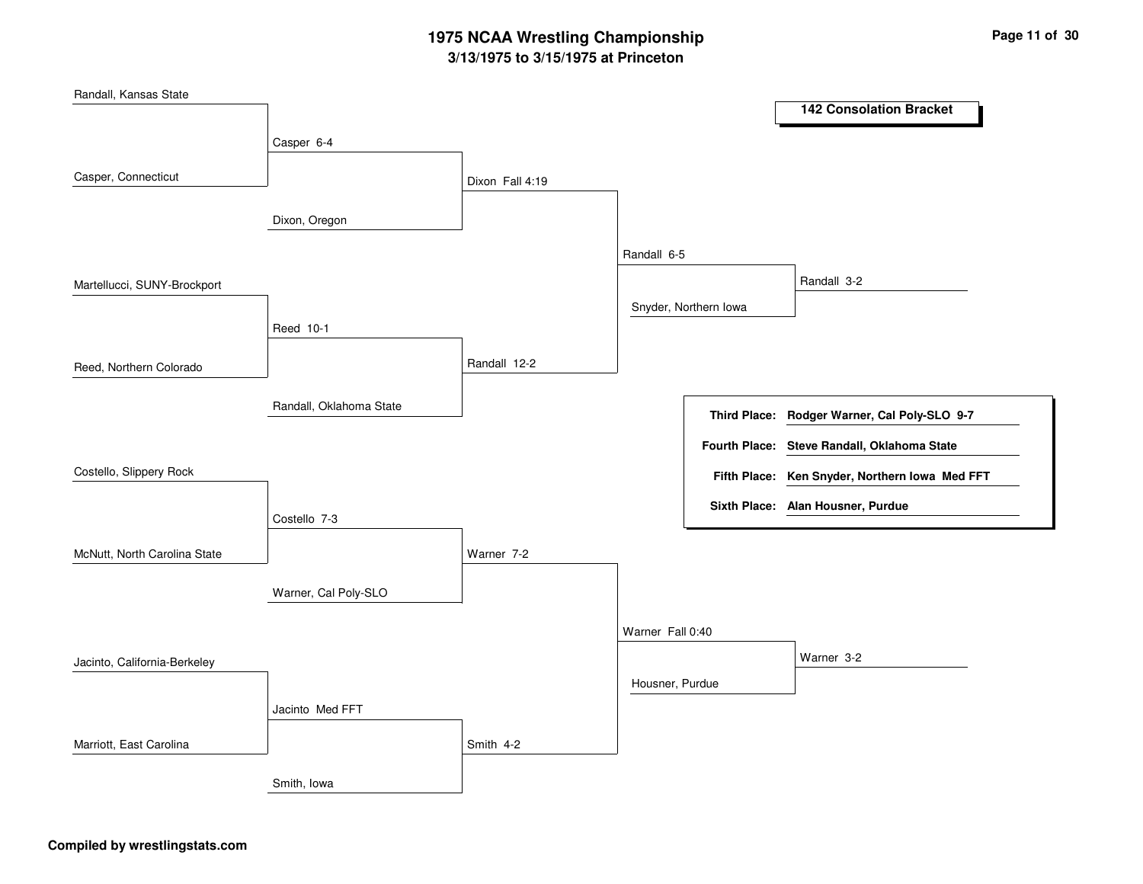| Randall, Kansas State        |                         |                 |                  |                       |                                                |
|------------------------------|-------------------------|-----------------|------------------|-----------------------|------------------------------------------------|
|                              |                         |                 |                  |                       | <b>142 Consolation Bracket</b>                 |
|                              | Casper 6-4              |                 |                  |                       |                                                |
|                              |                         |                 |                  |                       |                                                |
| Casper, Connecticut          |                         | Dixon Fall 4:19 |                  |                       |                                                |
|                              |                         |                 |                  |                       |                                                |
|                              | Dixon, Oregon           |                 |                  |                       |                                                |
|                              |                         |                 | Randall 6-5      |                       |                                                |
| Martellucci, SUNY-Brockport  |                         |                 |                  |                       | Randall 3-2                                    |
|                              |                         |                 |                  | Snyder, Northern Iowa |                                                |
|                              | Reed 10-1               |                 |                  |                       |                                                |
|                              |                         |                 |                  |                       |                                                |
| Reed, Northern Colorado      |                         | Randall 12-2    |                  |                       |                                                |
|                              |                         |                 |                  |                       |                                                |
|                              | Randall, Oklahoma State |                 |                  | <b>Third Place:</b>   | Rodger Warner, Cal Poly-SLO 9-7                |
|                              |                         |                 |                  |                       | Fourth Place: Steve Randall, Oklahoma State    |
| Costello, Slippery Rock      |                         |                 |                  |                       |                                                |
|                              |                         |                 |                  |                       | Fifth Place: Ken Snyder, Northern Iowa Med FFT |
|                              | Costello 7-3            |                 |                  |                       | Sixth Place: Alan Housner, Purdue              |
|                              |                         |                 |                  |                       |                                                |
| McNutt, North Carolina State |                         | Warner 7-2      |                  |                       |                                                |
|                              |                         |                 |                  |                       |                                                |
|                              | Warner, Cal Poly-SLO    |                 |                  |                       |                                                |
|                              |                         |                 | Warner Fall 0:40 |                       |                                                |
|                              |                         |                 |                  |                       | Warner 3-2                                     |
| Jacinto, California-Berkeley |                         |                 |                  |                       |                                                |
|                              |                         |                 | Housner, Purdue  |                       |                                                |
|                              | Jacinto Med FFT         |                 |                  |                       |                                                |
| Marriott, East Carolina      |                         | Smith 4-2       |                  |                       |                                                |
|                              |                         |                 |                  |                       |                                                |
|                              | Smith, Iowa             |                 |                  |                       |                                                |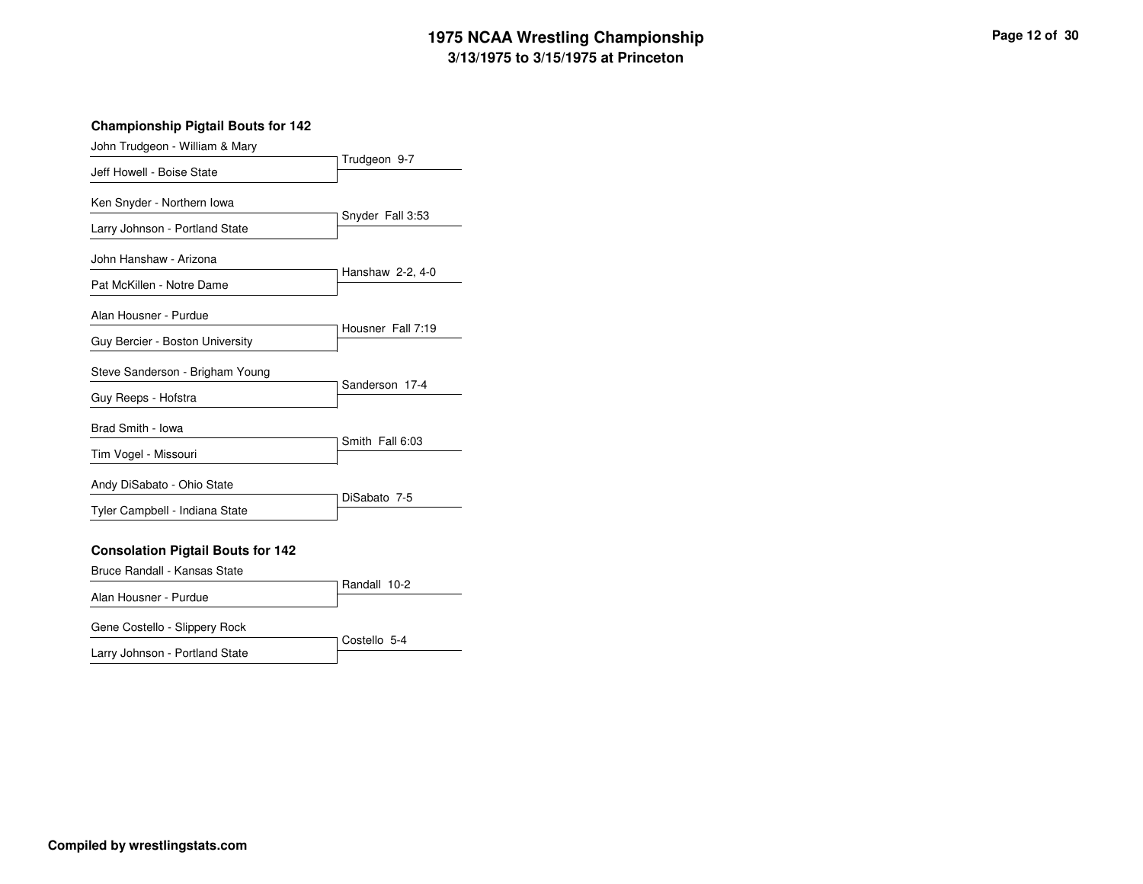| John Trudgeon - William & Mary           |                   |
|------------------------------------------|-------------------|
| Jeff Howell - Boise State                | Trudgeon 9-7      |
| Ken Snyder - Northern Iowa               |                   |
| Larry Johnson - Portland State           | Snyder Fall 3:53  |
| John Hanshaw - Arizona                   |                   |
| Pat McKillen - Notre Dame                | Hanshaw 2-2, 4-0  |
| Alan Housner - Purdue                    | Housner Fall 7:19 |
| Guy Bercier - Boston University          |                   |
| Steve Sanderson - Brigham Young          | Sanderson 17-4    |
| Guy Reeps - Hofstra                      |                   |
| Brad Smith - Iowa                        |                   |
| Tim Vogel - Missouri                     | Smith Fall 6:03   |
| Andy DiSabato - Ohio State               | DiSabato 7-5      |
| Tyler Campbell - Indiana State           |                   |
| <b>Consolation Pigtail Bouts for 142</b> |                   |
| Bruce Randall - Kansas State             | Randall 10-2      |
| Alan Housner - Purdue                    |                   |
| Gene Costello - Slippery Rock            |                   |
| Larry Johnson - Portland State           | Costello 5-4      |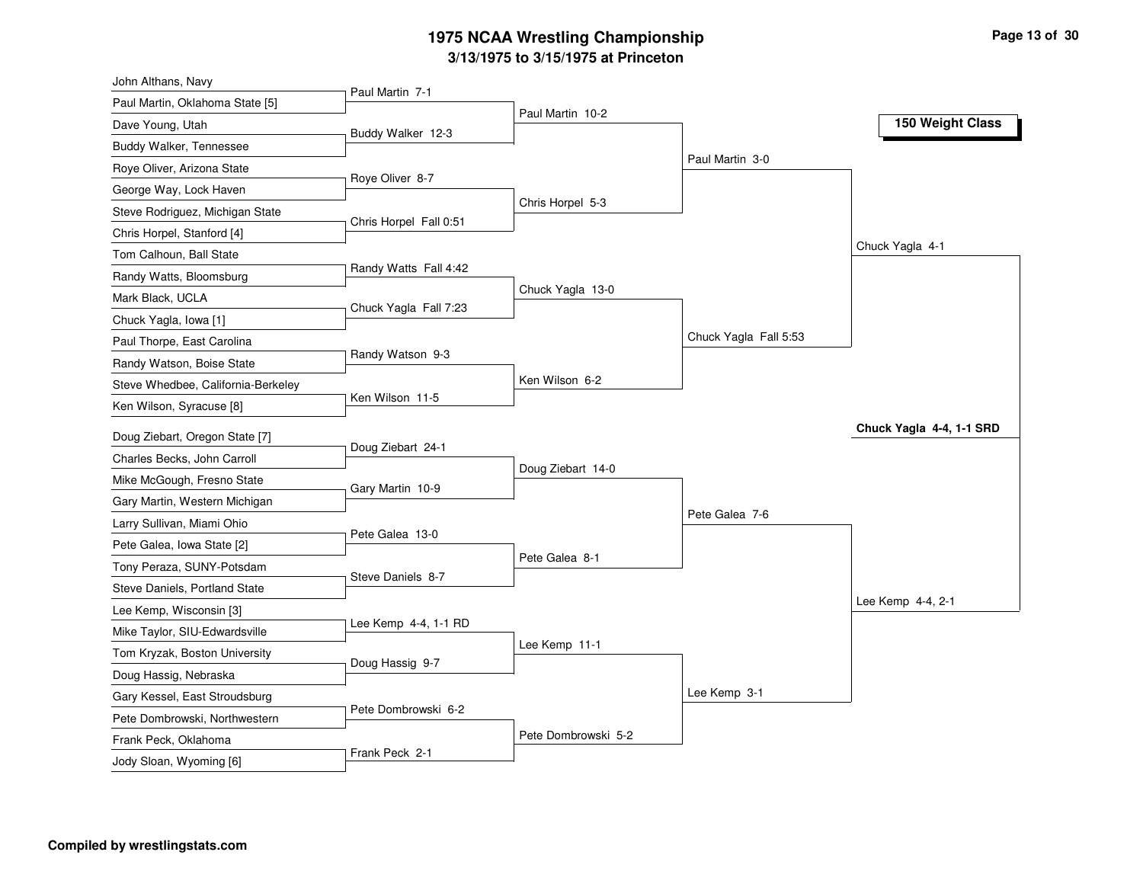| John Althans, Navy                                    |                        |                     |                       |                          |
|-------------------------------------------------------|------------------------|---------------------|-----------------------|--------------------------|
| Paul Martin, Oklahoma State [5]                       | Paul Martin 7-1        | Paul Martin 10-2    |                       |                          |
| Dave Young, Utah                                      | Buddy Walker 12-3      |                     |                       | 150 Weight Class         |
| Buddy Walker, Tennessee                               |                        |                     |                       |                          |
| Roye Oliver, Arizona State                            |                        |                     | Paul Martin 3-0       |                          |
| George Way, Lock Haven                                | Roye Oliver 8-7        |                     |                       |                          |
| Steve Rodriguez, Michigan State                       |                        | Chris Horpel 5-3    |                       |                          |
| Chris Horpel, Stanford [4]                            | Chris Horpel Fall 0:51 |                     |                       |                          |
| Tom Calhoun, Ball State                               |                        |                     |                       | Chuck Yagla 4-1          |
| Randy Watts, Bloomsburg                               | Randy Watts Fall 4:42  |                     |                       |                          |
| Mark Black, UCLA                                      |                        | Chuck Yagla 13-0    |                       |                          |
| Chuck Yagla, Iowa [1]                                 | Chuck Yagla Fall 7:23  |                     |                       |                          |
| Paul Thorpe, East Carolina                            |                        |                     | Chuck Yagla Fall 5:53 |                          |
| Randy Watson, Boise State                             | Randy Watson 9-3       |                     |                       |                          |
| Steve Whedbee, California-Berkeley                    |                        | Ken Wilson 6-2      |                       |                          |
| Ken Wilson, Syracuse [8]                              | Ken Wilson 11-5        |                     |                       |                          |
| Doug Ziebart, Oregon State [7]                        |                        |                     |                       | Chuck Yagla 4-4, 1-1 SRD |
| Charles Becks, John Carroll                           | Doug Ziebart 24-1      |                     |                       |                          |
| Mike McGough, Fresno State                            |                        | Doug Ziebart 14-0   |                       |                          |
| Gary Martin, Western Michigan                         | Gary Martin 10-9       |                     |                       |                          |
| Larry Sullivan, Miami Ohio                            |                        |                     | Pete Galea 7-6        |                          |
| Pete Galea, Iowa State [2]                            | Pete Galea 13-0        |                     |                       |                          |
| Tony Peraza, SUNY-Potsdam                             |                        | Pete Galea 8-1      |                       |                          |
| Steve Daniels, Portland State                         | Steve Daniels 8-7      |                     |                       |                          |
| Lee Kemp, Wisconsin [3]                               |                        |                     |                       | Lee Kemp 4-4, 2-1        |
| Mike Taylor, SIU-Edwardsville                         | Lee Kemp 4-4, 1-1 RD   |                     |                       |                          |
| Tom Kryzak, Boston University                         |                        | Lee Kemp 11-1       |                       |                          |
| Doug Hassig, Nebraska                                 | Doug Hassig 9-7        |                     |                       |                          |
| Gary Kessel, East Stroudsburg                         |                        |                     | Lee Kemp 3-1          |                          |
|                                                       |                        |                     |                       |                          |
|                                                       | Pete Dombrowski 6-2    |                     |                       |                          |
| Pete Dombrowski, Northwestern<br>Frank Peck, Oklahoma |                        | Pete Dombrowski 5-2 |                       |                          |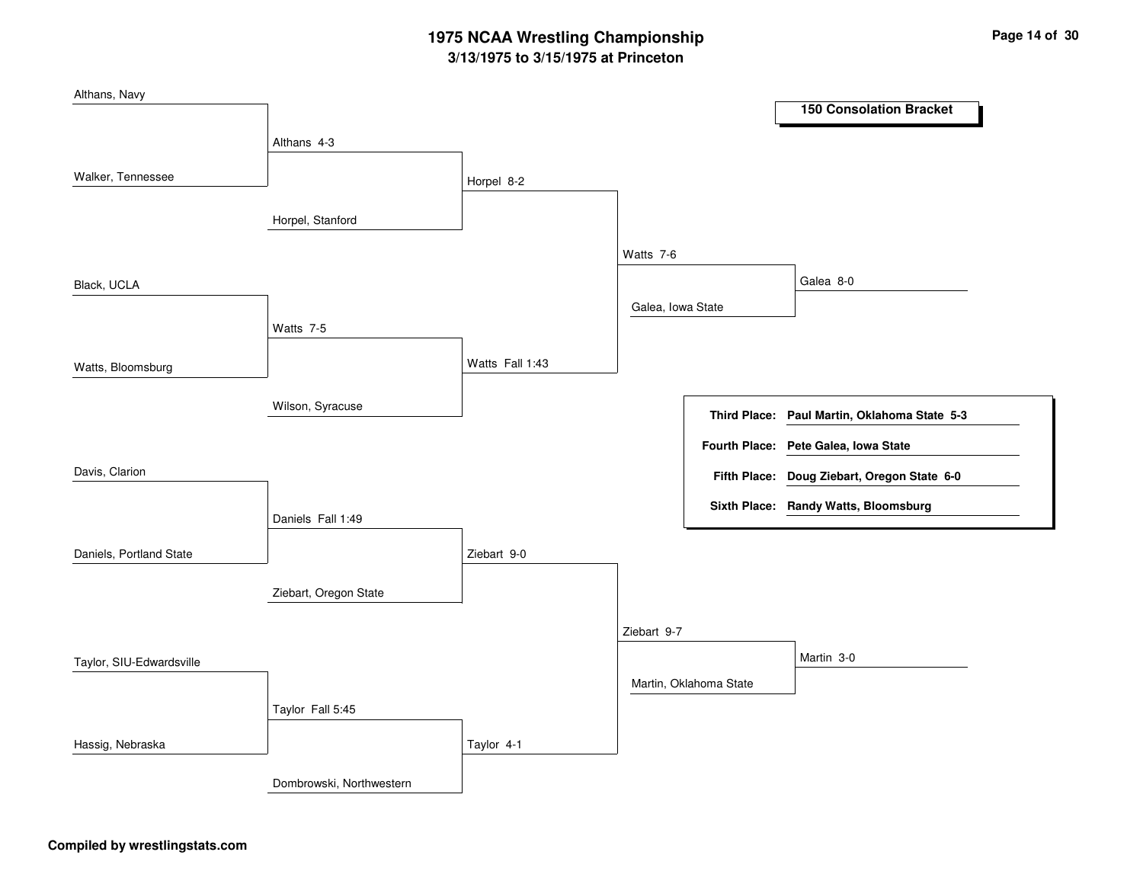| Althans, Navy            |                          |                 |                   |                        |                                              |
|--------------------------|--------------------------|-----------------|-------------------|------------------------|----------------------------------------------|
|                          |                          |                 |                   |                        | <b>150 Consolation Bracket</b>               |
|                          | Althans 4-3              |                 |                   |                        |                                              |
|                          |                          |                 |                   |                        |                                              |
| Walker, Tennessee        |                          | Horpel 8-2      |                   |                        |                                              |
|                          |                          |                 |                   |                        |                                              |
|                          | Horpel, Stanford         |                 |                   |                        |                                              |
|                          |                          |                 | Watts 7-6         |                        |                                              |
|                          |                          |                 |                   |                        |                                              |
| Black, UCLA              |                          |                 |                   |                        | Galea 8-0                                    |
|                          |                          |                 | Galea, Iowa State |                        |                                              |
|                          | Watts 7-5                |                 |                   |                        |                                              |
|                          |                          | Watts Fall 1:43 |                   |                        |                                              |
| Watts, Bloomsburg        |                          |                 |                   |                        |                                              |
|                          | Wilson, Syracuse         |                 |                   |                        |                                              |
|                          |                          |                 |                   |                        | Third Place: Paul Martin, Oklahoma State 5-3 |
|                          |                          |                 |                   |                        | Fourth Place: Pete Galea, Iowa State         |
| Davis, Clarion           |                          |                 |                   |                        |                                              |
|                          |                          |                 |                   |                        | Fifth Place: Doug Ziebart, Oregon State 6-0  |
|                          |                          |                 |                   |                        | Sixth Place: Randy Watts, Bloomsburg         |
|                          | Daniels Fall 1:49        |                 |                   |                        |                                              |
| Daniels, Portland State  |                          | Ziebart 9-0     |                   |                        |                                              |
|                          |                          |                 |                   |                        |                                              |
|                          | Ziebart, Oregon State    |                 |                   |                        |                                              |
|                          |                          |                 |                   |                        |                                              |
|                          |                          |                 | Ziebart 9-7       |                        |                                              |
| Taylor, SIU-Edwardsville |                          |                 |                   |                        | Martin 3-0                                   |
|                          |                          |                 |                   | Martin, Oklahoma State |                                              |
|                          | Taylor Fall 5:45         |                 |                   |                        |                                              |
|                          |                          |                 |                   |                        |                                              |
| Hassig, Nebraska         |                          | Taylor 4-1      |                   |                        |                                              |
|                          |                          |                 |                   |                        |                                              |
|                          | Dombrowski, Northwestern |                 |                   |                        |                                              |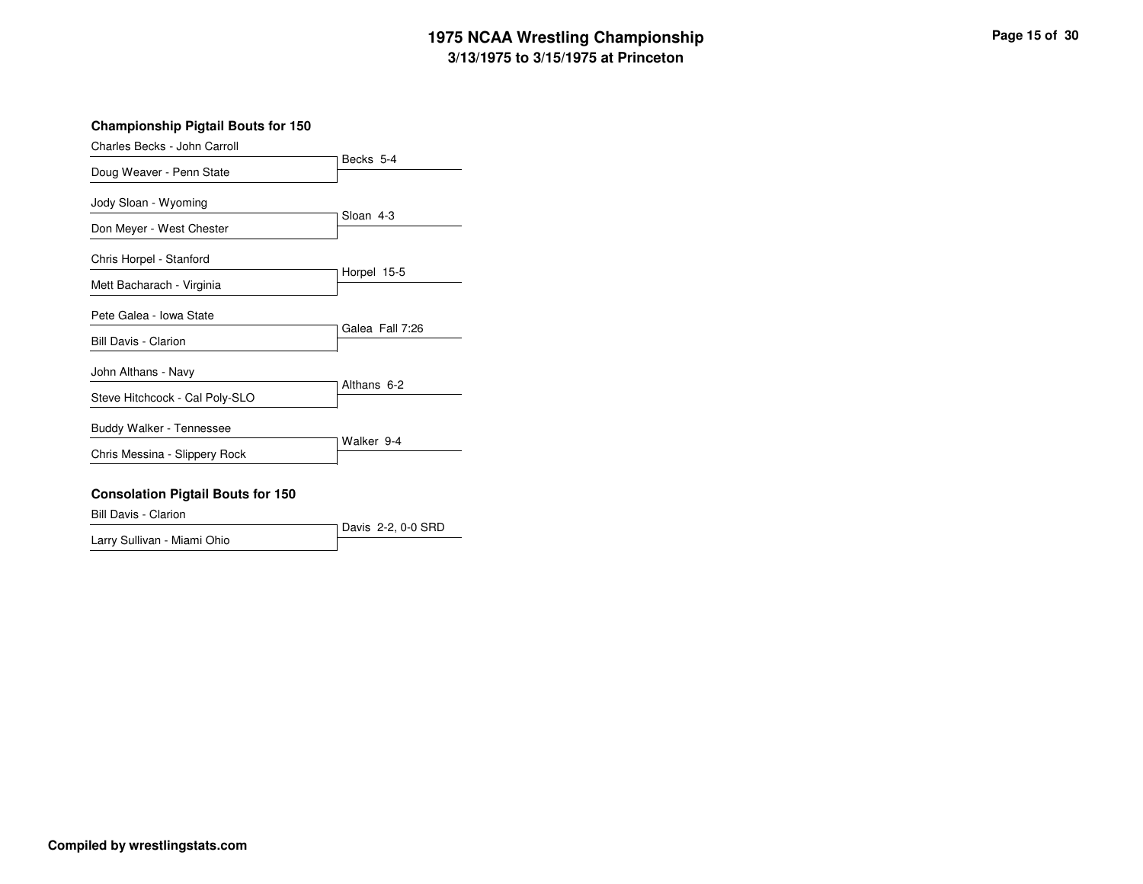| Charles Becks - John Carroll   |                 |
|--------------------------------|-----------------|
| Doug Weaver - Penn State       | Becks 5-4       |
| Jody Sloan - Wyoming           | Sloan 4-3       |
| Don Meyer - West Chester       |                 |
| Chris Horpel - Stanford        |                 |
| Mett Bacharach - Virginia      | Horpel 15-5     |
| Pete Galea - Iowa State        | Galea Fall 7:26 |
| Bill Davis - Clarion           |                 |
| John Althans - Navy            | Althans 6-2     |
| Steve Hitchcock - Cal Poly-SLO |                 |
| Buddy Walker - Tennessee       |                 |
| Chris Messina - Slippery Rock  | Walker 9-4      |
|                                |                 |

### **Consolation Pigtail Bouts for 150**

Bill Davis - Clarion

|                             | Davis 2-2, 0-0 SRD |
|-----------------------------|--------------------|
| Larry Sullivan - Miami Ohio |                    |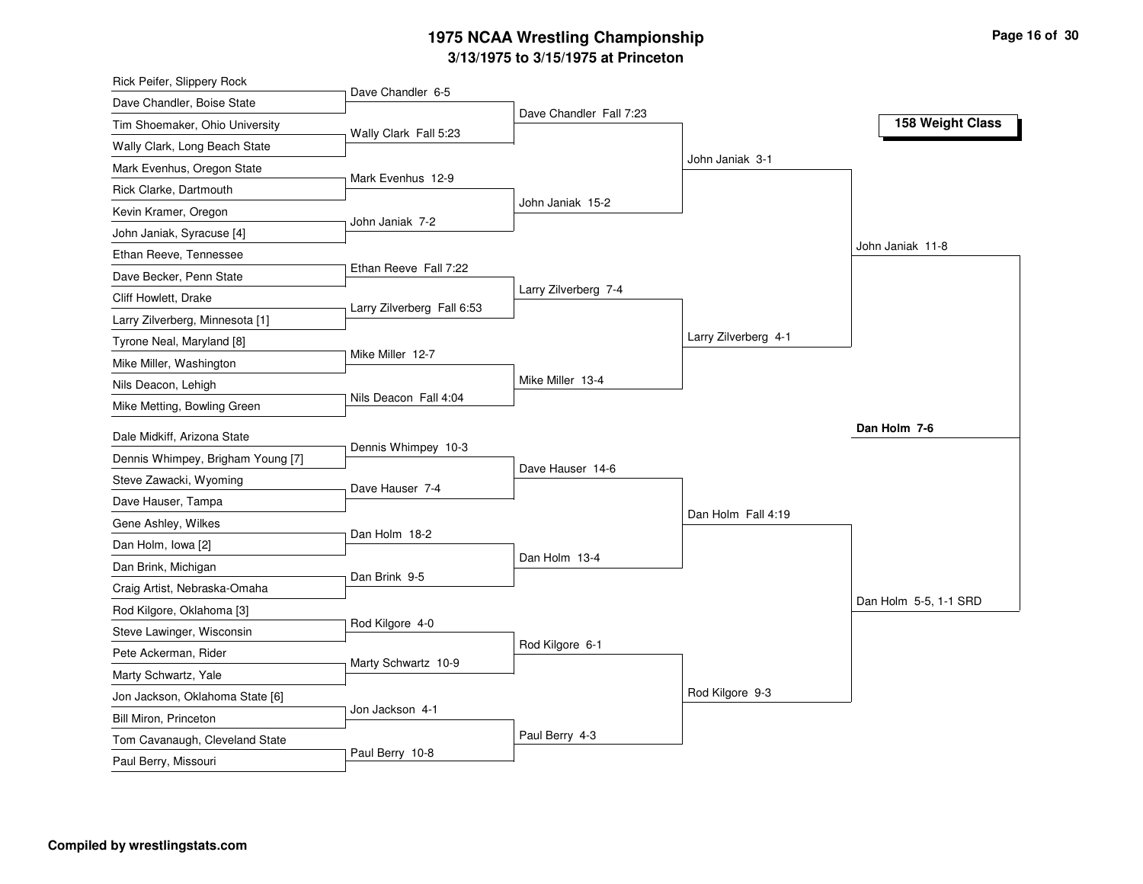| Rick Peifer, Slippery Rock                             |                            |                         |                      |                       |
|--------------------------------------------------------|----------------------------|-------------------------|----------------------|-----------------------|
| Dave Chandler, Boise State                             | Dave Chandler 6-5          |                         |                      |                       |
| Tim Shoemaker, Ohio University                         | Wally Clark Fall 5:23      | Dave Chandler Fall 7:23 |                      | 158 Weight Class      |
| Wally Clark, Long Beach State                          |                            |                         |                      |                       |
| Mark Evenhus, Oregon State                             |                            |                         | John Janiak 3-1      |                       |
| Rick Clarke, Dartmouth                                 | Mark Evenhus 12-9          |                         |                      |                       |
| Kevin Kramer, Oregon                                   |                            | John Janiak 15-2        |                      |                       |
| John Janiak, Syracuse [4]                              | John Janiak 7-2            |                         |                      |                       |
| Ethan Reeve, Tennessee                                 |                            |                         |                      | John Janiak 11-8      |
| Dave Becker, Penn State                                | Ethan Reeve Fall 7:22      |                         |                      |                       |
| Cliff Howlett, Drake                                   |                            | Larry Zilverberg 7-4    |                      |                       |
| Larry Zilverberg, Minnesota [1]                        | Larry Zilverberg Fall 6:53 |                         |                      |                       |
| Tyrone Neal, Maryland [8]                              |                            |                         | Larry Zilverberg 4-1 |                       |
| Mike Miller, Washington                                | Mike Miller 12-7           |                         |                      |                       |
| Nils Deacon, Lehigh                                    |                            | Mike Miller 13-4        |                      |                       |
| Mike Metting, Bowling Green                            | Nils Deacon Fall 4:04      |                         |                      |                       |
| Dale Midkiff, Arizona State                            |                            |                         |                      | Dan Holm 7-6          |
| Dennis Whimpey, Brigham Young [7]                      | Dennis Whimpey 10-3        |                         |                      |                       |
| Steve Zawacki, Wyoming                                 |                            | Dave Hauser 14-6        |                      |                       |
|                                                        | Dave Hauser 7-4            |                         |                      |                       |
| Dave Hauser, Tampa                                     |                            |                         | Dan Holm Fall 4:19   |                       |
| Gene Ashley, Wilkes                                    | Dan Holm 18-2              |                         |                      |                       |
| Dan Holm, Iowa [2]                                     |                            | Dan Holm 13-4           |                      |                       |
| Dan Brink, Michigan                                    | Dan Brink 9-5              |                         |                      |                       |
| Craig Artist, Nebraska-Omaha                           |                            |                         |                      | Dan Holm 5-5, 1-1 SRD |
| Rod Kilgore, Oklahoma [3]                              | Rod Kilgore 4-0            |                         |                      |                       |
| Steve Lawinger, Wisconsin                              |                            | Rod Kilgore 6-1         |                      |                       |
| Pete Ackerman, Rider                                   |                            |                         |                      |                       |
|                                                        | Marty Schwartz 10-9        |                         |                      |                       |
| Marty Schwartz, Yale                                   |                            |                         |                      |                       |
| Jon Jackson, Oklahoma State [6]                        | Jon Jackson 4-1            |                         | Rod Kilgore 9-3      |                       |
| Bill Miron, Princeton                                  |                            |                         |                      |                       |
| Tom Cavanaugh, Cleveland State<br>Paul Berry, Missouri | Paul Berry 10-8            | Paul Berry 4-3          |                      |                       |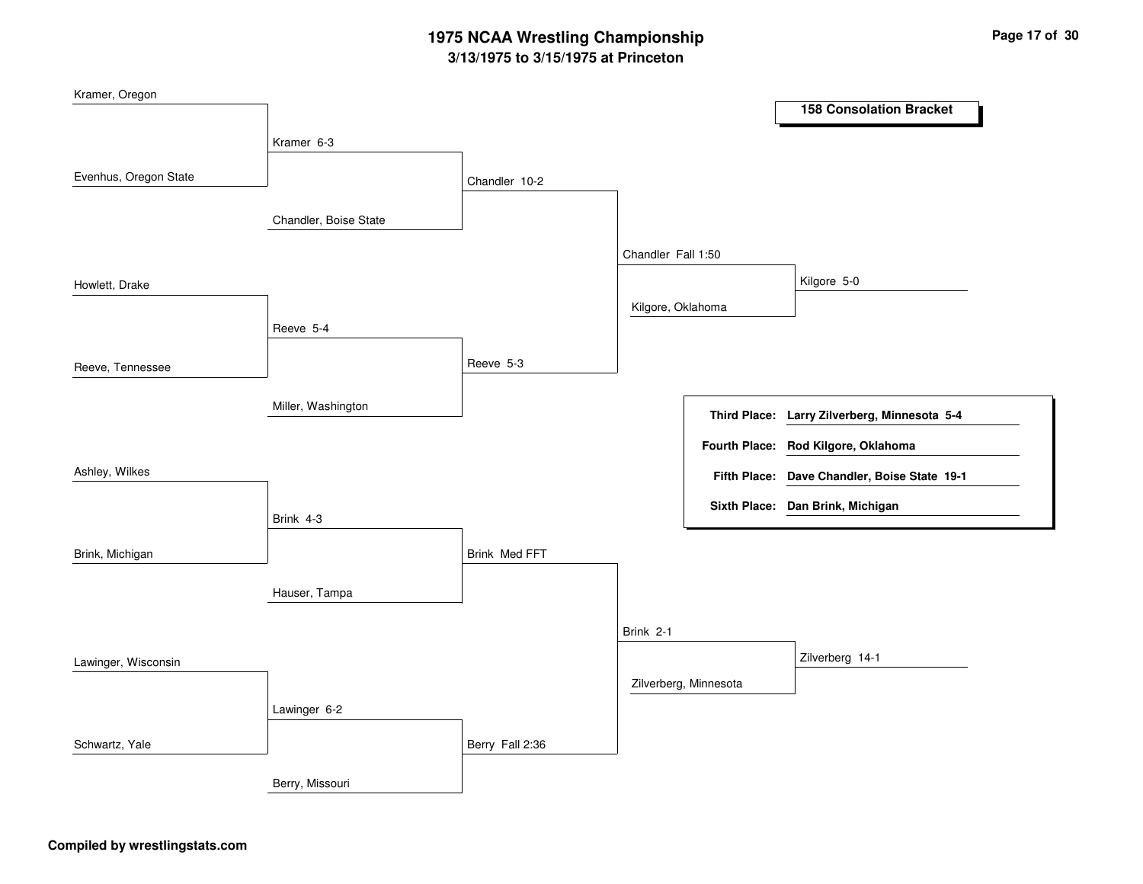| Kramer, Oregon        |                       |                 |                    |                       |                                              |
|-----------------------|-----------------------|-----------------|--------------------|-----------------------|----------------------------------------------|
|                       |                       |                 |                    |                       | <b>158 Consolation Bracket</b>               |
|                       | Kramer 6-3            |                 |                    |                       |                                              |
| Evenhus, Oregon State |                       | Chandler 10-2   |                    |                       |                                              |
|                       | Chandler, Boise State |                 |                    |                       |                                              |
|                       |                       |                 | Chandler Fall 1:50 |                       |                                              |
| Howlett, Drake        |                       |                 |                    |                       | Kilgore 5-0                                  |
|                       |                       |                 | Kilgore, Oklahoma  |                       |                                              |
|                       | Reeve 5-4             |                 |                    |                       |                                              |
| Reeve, Tennessee      |                       | Reeve 5-3       |                    |                       |                                              |
|                       | Miller, Washington    |                 |                    |                       | Third Place: Larry Zilverberg, Minnesota 5-4 |
|                       |                       |                 |                    |                       | Fourth Place: Rod Kilgore, Oklahoma          |
| Ashley, Wilkes        |                       |                 |                    |                       | Fifth Place: Dave Chandler, Boise State 19-1 |
|                       | Brink 4-3             |                 |                    |                       | Sixth Place: Dan Brink, Michigan             |
| Brink, Michigan       |                       | Brink Med FFT   |                    |                       |                                              |
|                       |                       |                 |                    |                       |                                              |
|                       | Hauser, Tampa         |                 |                    |                       |                                              |
|                       |                       |                 | Brink 2-1          |                       |                                              |
| Lawinger, Wisconsin   |                       |                 |                    |                       | Zilverberg 14-1                              |
|                       |                       |                 |                    | Zilverberg, Minnesota |                                              |
|                       | Lawinger 6-2          |                 |                    |                       |                                              |
| Schwartz, Yale        |                       | Berry Fall 2:36 |                    |                       |                                              |
|                       | Berry, Missouri       |                 |                    |                       |                                              |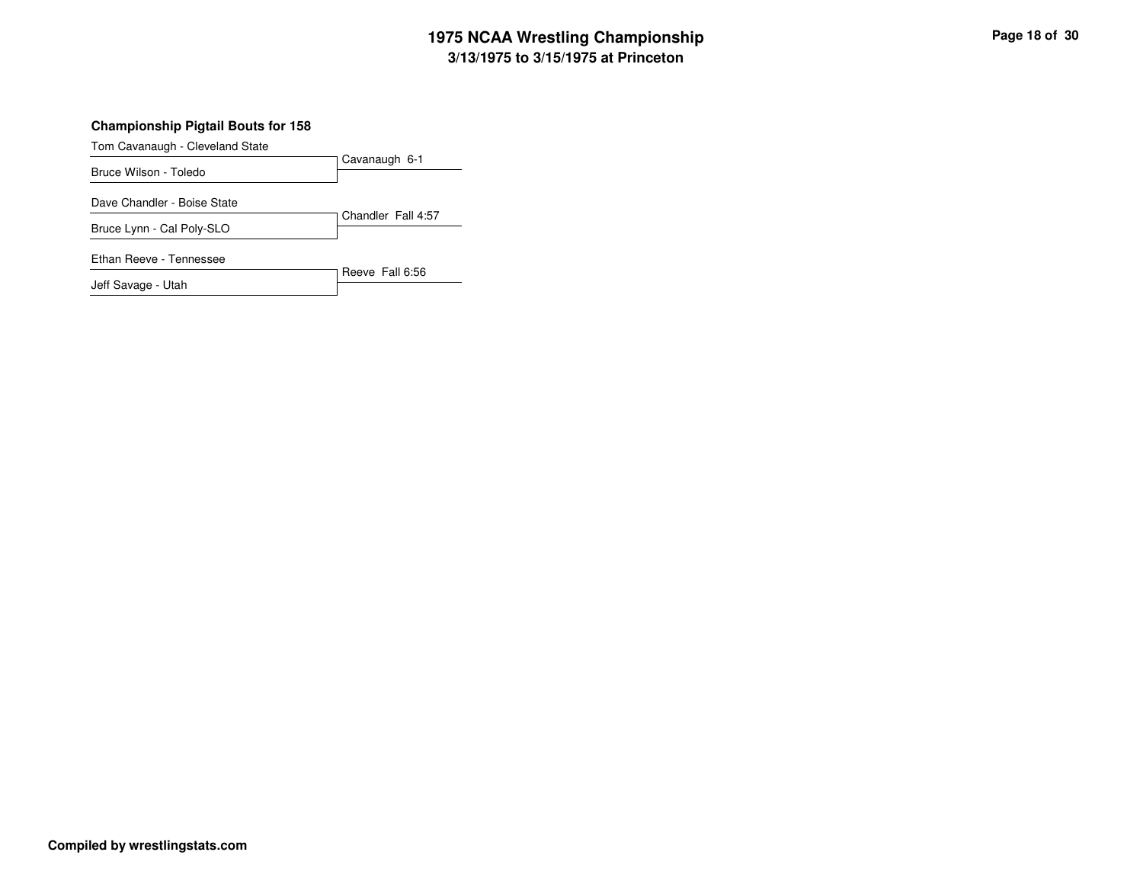#### **Championship Pigtail Bouts for 158**

Tom Cavanaugh - Cleveland State

Cavanaugh 6-1Bruce Wilson - ToledoChandler Fall 4:57Dave Chandler - Boise StateBruce Lynn - Cal Poly-SLOReeve Fall 6:56Ethan Reeve - TennesseeJeff Savage - Utah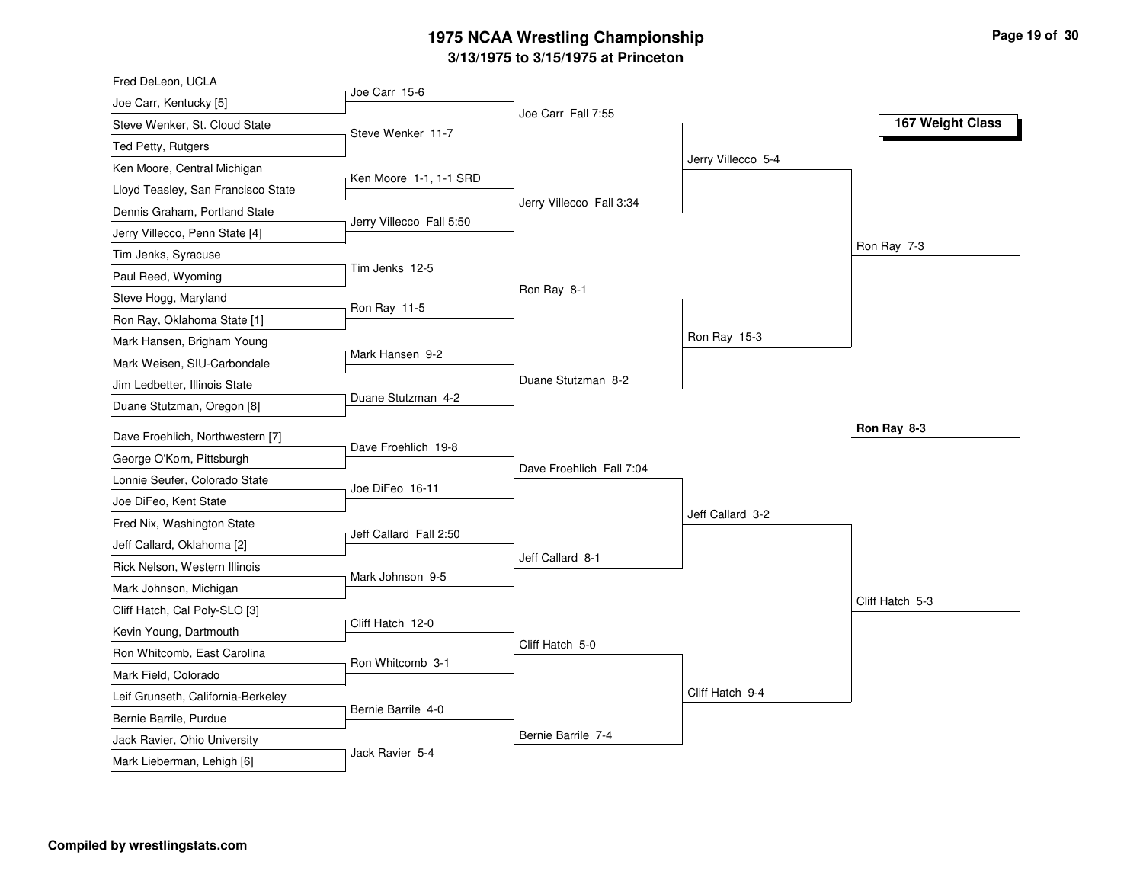| Fred DeLeon, UCLA                  |                          |                          |                    |                  |
|------------------------------------|--------------------------|--------------------------|--------------------|------------------|
| Joe Carr, Kentucky [5]             | Joe Carr 15-6            |                          |                    |                  |
| Steve Wenker, St. Cloud State      | Steve Wenker 11-7        | Joe Carr Fall 7:55       |                    | 167 Weight Class |
| Ted Petty, Rutgers                 |                          |                          |                    |                  |
| Ken Moore, Central Michigan        |                          |                          | Jerry Villecco 5-4 |                  |
| Lloyd Teasley, San Francisco State | Ken Moore 1-1, 1-1 SRD   |                          |                    |                  |
| Dennis Graham, Portland State      |                          | Jerry Villecco Fall 3:34 |                    |                  |
| Jerry Villecco, Penn State [4]     | Jerry Villecco Fall 5:50 |                          |                    |                  |
| Tim Jenks, Syracuse                |                          |                          |                    | Ron Ray 7-3      |
| Paul Reed, Wyoming                 | Tim Jenks 12-5           |                          |                    |                  |
| Steve Hogg, Maryland               |                          | Ron Ray 8-1              |                    |                  |
| Ron Ray, Oklahoma State [1]        | Ron Ray 11-5             |                          |                    |                  |
| Mark Hansen, Brigham Young         |                          |                          | Ron Ray 15-3       |                  |
| Mark Weisen, SIU-Carbondale        | Mark Hansen 9-2          |                          |                    |                  |
| Jim Ledbetter, Illinois State      |                          | Duane Stutzman 8-2       |                    |                  |
| Duane Stutzman, Oregon [8]         | Duane Stutzman 4-2       |                          |                    |                  |
| Dave Froehlich, Northwestern [7]   |                          |                          |                    | Ron Ray 8-3      |
| George O'Korn, Pittsburgh          | Dave Froehlich 19-8      |                          |                    |                  |
| Lonnie Seufer, Colorado State      |                          | Dave Froehlich Fall 7:04 |                    |                  |
| Joe DiFeo, Kent State              | Joe DiFeo 16-11          |                          |                    |                  |
| Fred Nix, Washington State         |                          |                          | Jeff Callard 3-2   |                  |
| Jeff Callard, Oklahoma [2]         | Jeff Callard Fall 2:50   |                          |                    |                  |
| Rick Nelson, Western Illinois      |                          | Jeff Callard 8-1         |                    |                  |
|                                    | Mark Johnson 9-5         |                          |                    |                  |
| Mark Johnson, Michigan             |                          |                          |                    | Cliff Hatch 5-3  |
| Cliff Hatch, Cal Poly-SLO [3]      | Cliff Hatch 12-0         |                          |                    |                  |
| Kevin Young, Dartmouth             |                          | Cliff Hatch 5-0          |                    |                  |
| Ron Whitcomb, East Carolina        | Ron Whitcomb 3-1         |                          |                    |                  |
| Mark Field, Colorado               |                          |                          | Cliff Hatch 9-4    |                  |
| Leif Grunseth, California-Berkeley | Bernie Barrile 4-0       |                          |                    |                  |
| Bernie Barrile, Purdue             |                          | Bernie Barrile 7-4       |                    |                  |
| Jack Ravier, Ohio University       | Jack Ravier 5-4          |                          |                    |                  |
| Mark Lieberman, Lehigh [6]         |                          |                          |                    |                  |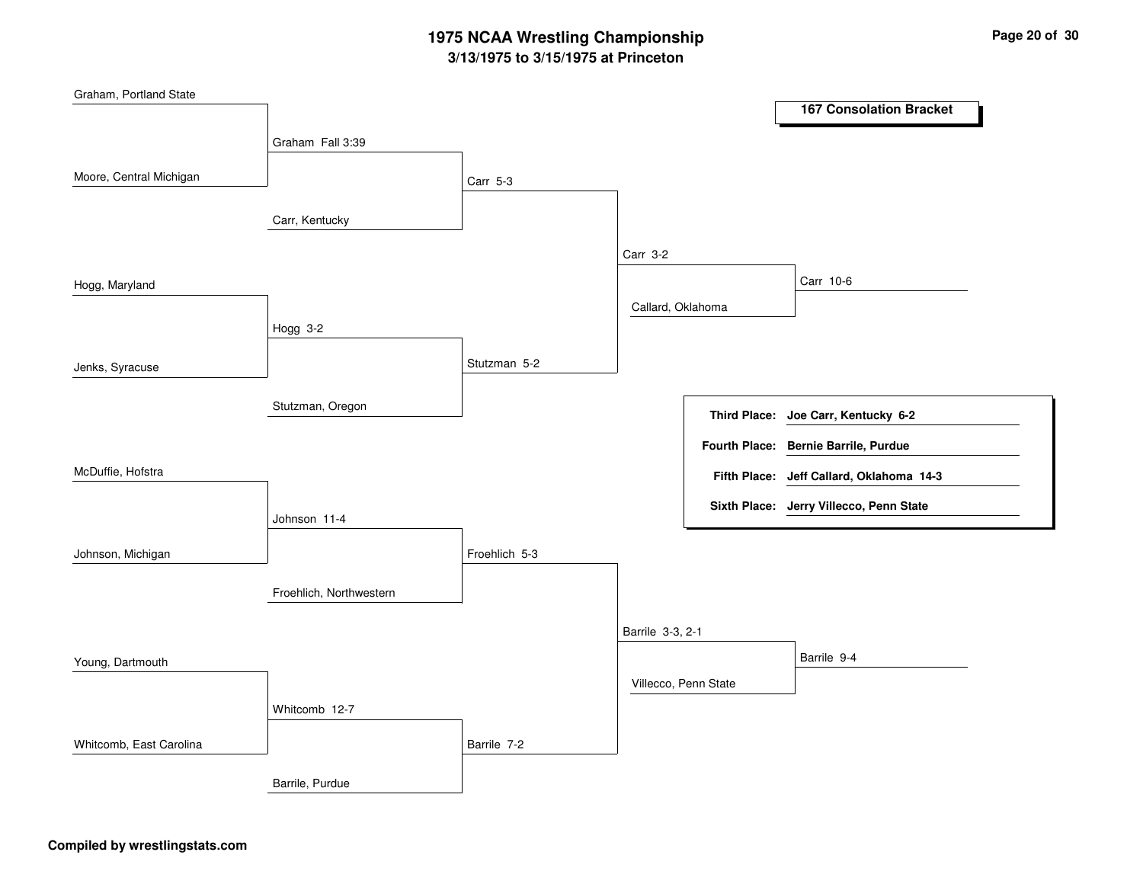| Graham, Portland State  |                         |               |                      |                                          |
|-------------------------|-------------------------|---------------|----------------------|------------------------------------------|
|                         |                         |               |                      | <b>167 Consolation Bracket</b>           |
|                         | Graham Fall 3:39        |               |                      |                                          |
|                         |                         |               |                      |                                          |
| Moore, Central Michigan |                         | Carr 5-3      |                      |                                          |
|                         |                         |               |                      |                                          |
|                         | Carr, Kentucky          |               |                      |                                          |
|                         |                         |               | Carr 3-2             |                                          |
|                         |                         |               |                      | Carr 10-6                                |
| Hogg, Maryland          |                         |               |                      |                                          |
|                         |                         |               | Callard, Oklahoma    |                                          |
|                         | Hogg 3-2                |               |                      |                                          |
| Jenks, Syracuse         |                         | Stutzman 5-2  |                      |                                          |
|                         |                         |               |                      |                                          |
|                         | Stutzman, Oregon        |               |                      |                                          |
|                         |                         |               |                      | Third Place: Joe Carr, Kentucky 6-2      |
|                         |                         |               |                      | Fourth Place: Bernie Barrile, Purdue     |
| McDuffie, Hofstra       |                         |               |                      | Fifth Place: Jeff Callard, Oklahoma 14-3 |
|                         |                         |               |                      |                                          |
|                         | Johnson 11-4            |               |                      | Sixth Place: Jerry Villecco, Penn State  |
|                         |                         |               |                      |                                          |
| Johnson, Michigan       |                         | Froehlich 5-3 |                      |                                          |
|                         |                         |               |                      |                                          |
|                         | Froehlich, Northwestern |               |                      |                                          |
|                         |                         |               | Barrile 3-3, 2-1     |                                          |
|                         |                         |               |                      |                                          |
| Young, Dartmouth        |                         |               |                      | Barrile 9-4                              |
|                         |                         |               | Villecco, Penn State |                                          |
|                         | Whitcomb 12-7           |               |                      |                                          |
|                         |                         |               |                      |                                          |
| Whitcomb, East Carolina |                         | Barrile 7-2   |                      |                                          |
|                         | Barrile, Purdue         |               |                      |                                          |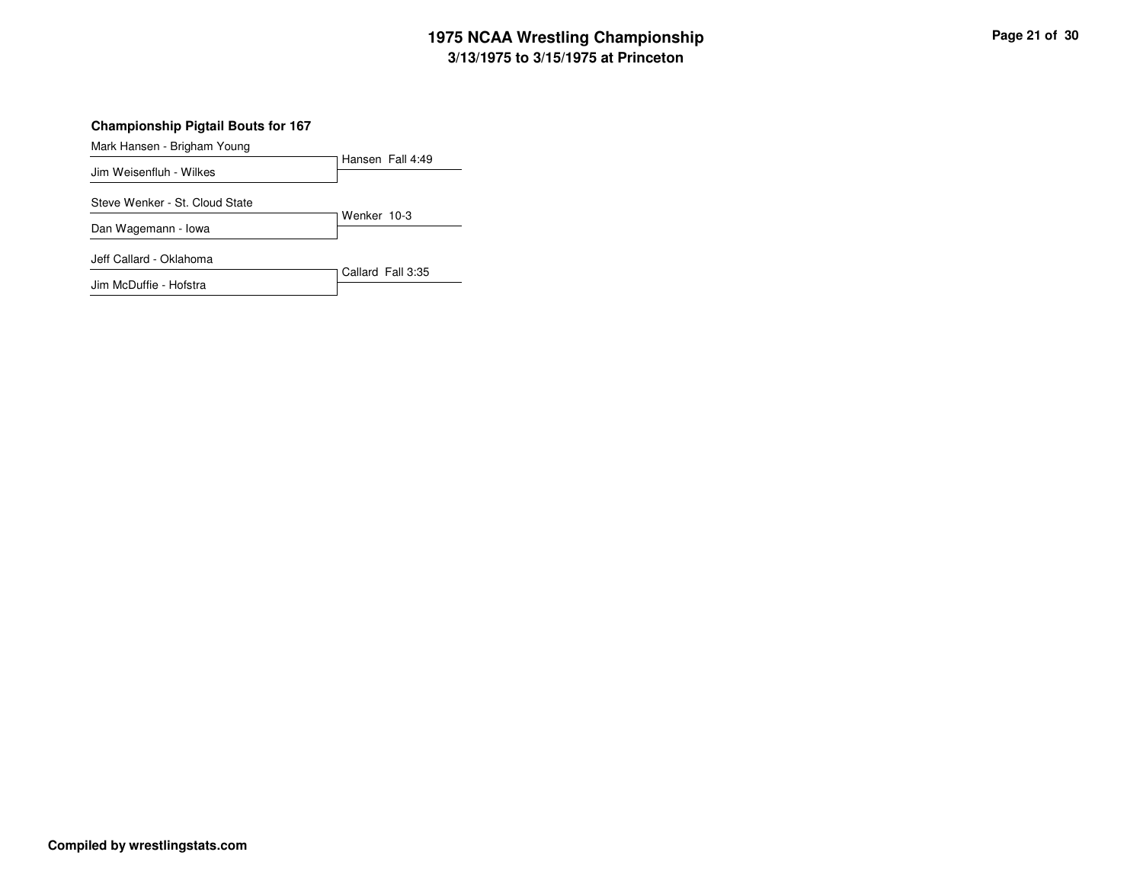### **Championship Pigtail Bouts for 167**

Mark Hansen - Brigham Young

Hansen Fall 4:49Jim Weisenfluh - Wilkes

Steve Wenker - St. Cloud State

Wenker 10-3Dan Wagemann - Iowa

Jeff Callard - Oklahoma

Callard Fall 3:35Jim McDuffie - Hofstra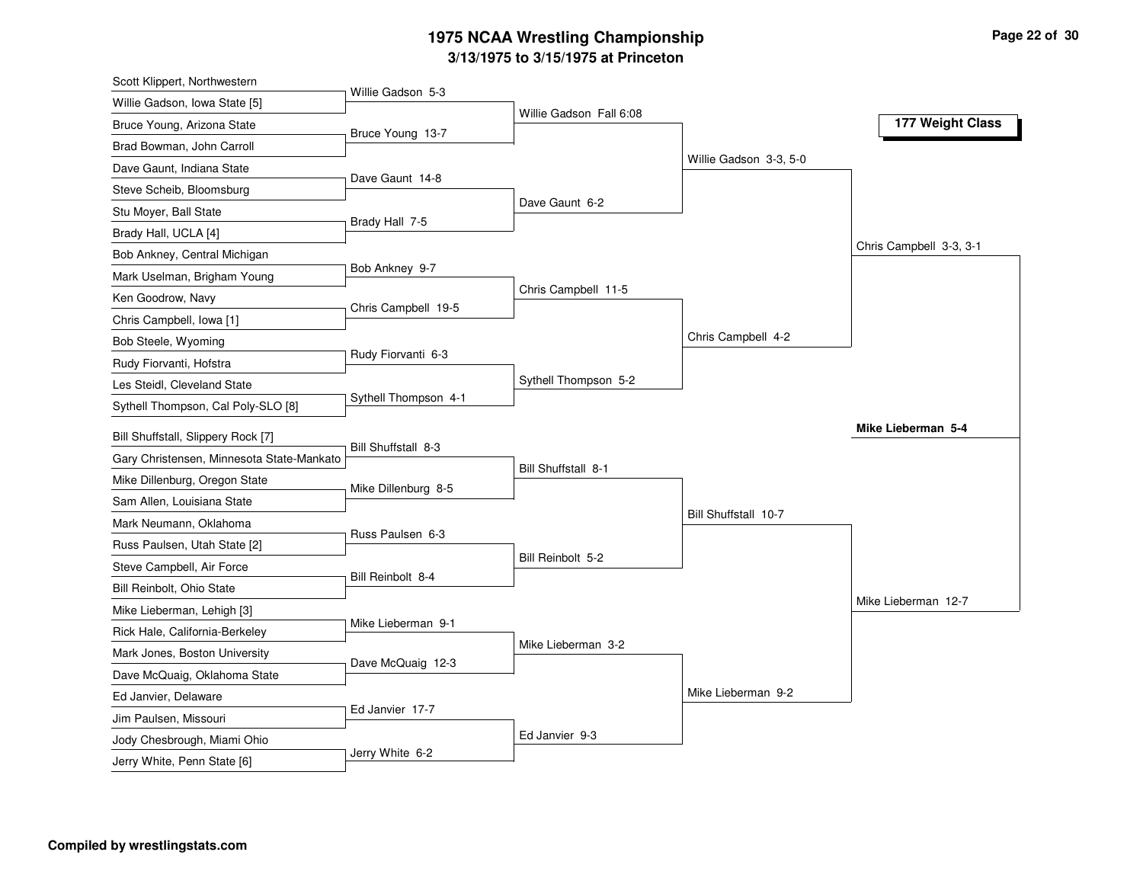| Scott Klippert, Northwestern                               |                      |                         |                        |                         |
|------------------------------------------------------------|----------------------|-------------------------|------------------------|-------------------------|
| Willie Gadson, Iowa State [5]                              | Willie Gadson 5-3    |                         |                        |                         |
| Bruce Young, Arizona State                                 | Bruce Young 13-7     | Willie Gadson Fall 6:08 |                        | 177 Weight Class        |
| Brad Bowman, John Carroll                                  |                      |                         |                        |                         |
| Dave Gaunt, Indiana State                                  |                      |                         | Willie Gadson 3-3, 5-0 |                         |
| Steve Scheib, Bloomsburg                                   | Dave Gaunt 14-8      |                         |                        |                         |
| Stu Moyer, Ball State                                      |                      | Dave Gaunt 6-2          |                        |                         |
| Brady Hall, UCLA [4]                                       | Brady Hall 7-5       |                         |                        |                         |
| Bob Ankney, Central Michigan                               |                      |                         |                        | Chris Campbell 3-3, 3-1 |
| Mark Uselman, Brigham Young                                | Bob Ankney 9-7       |                         |                        |                         |
| Ken Goodrow, Navy                                          |                      | Chris Campbell 11-5     |                        |                         |
| Chris Campbell, Iowa [1]                                   | Chris Campbell 19-5  |                         |                        |                         |
| Bob Steele, Wyoming                                        |                      |                         | Chris Campbell 4-2     |                         |
| Rudy Fiorvanti, Hofstra                                    | Rudy Fiorvanti 6-3   |                         |                        |                         |
| Les Steidl, Cleveland State                                |                      | Sythell Thompson 5-2    |                        |                         |
| Sythell Thompson, Cal Poly-SLO [8]                         | Sythell Thompson 4-1 |                         |                        |                         |
| Bill Shuffstall, Slippery Rock [7]                         |                      |                         |                        | Mike Lieberman 5-4      |
| Gary Christensen, Minnesota State-Mankato                  | Bill Shuffstall 8-3  |                         |                        |                         |
| Mike Dillenburg, Oregon State                              |                      | Bill Shuffstall 8-1     |                        |                         |
| Sam Allen, Louisiana State                                 | Mike Dillenburg 8-5  |                         |                        |                         |
| Mark Neumann, Oklahoma                                     |                      |                         | Bill Shuffstall 10-7   |                         |
| Russ Paulsen, Utah State [2]                               | Russ Paulsen 6-3     |                         |                        |                         |
|                                                            |                      | Bill Reinbolt 5-2       |                        |                         |
| Steve Campbell, Air Force                                  | Bill Reinbolt 8-4    |                         |                        |                         |
| Bill Reinbolt, Ohio State                                  |                      |                         |                        | Mike Lieberman 12-7     |
| Mike Lieberman, Lehigh [3]                                 | Mike Lieberman 9-1   |                         |                        |                         |
| Rick Hale, California-Berkeley                             |                      | Mike Lieberman 3-2      |                        |                         |
| Mark Jones, Boston University                              | Dave McQuaig 12-3    |                         |                        |                         |
| Dave McQuaig, Oklahoma State                               |                      |                         | Mike Lieberman 9-2     |                         |
| Ed Janvier, Delaware                                       | Ed Janvier 17-7      |                         |                        |                         |
| Jim Paulsen, Missouri                                      |                      |                         |                        |                         |
|                                                            |                      |                         |                        |                         |
| Jody Chesbrough, Miami Ohio<br>Jerry White, Penn State [6] | Jerry White 6-2      | Ed Janvier 9-3          |                        |                         |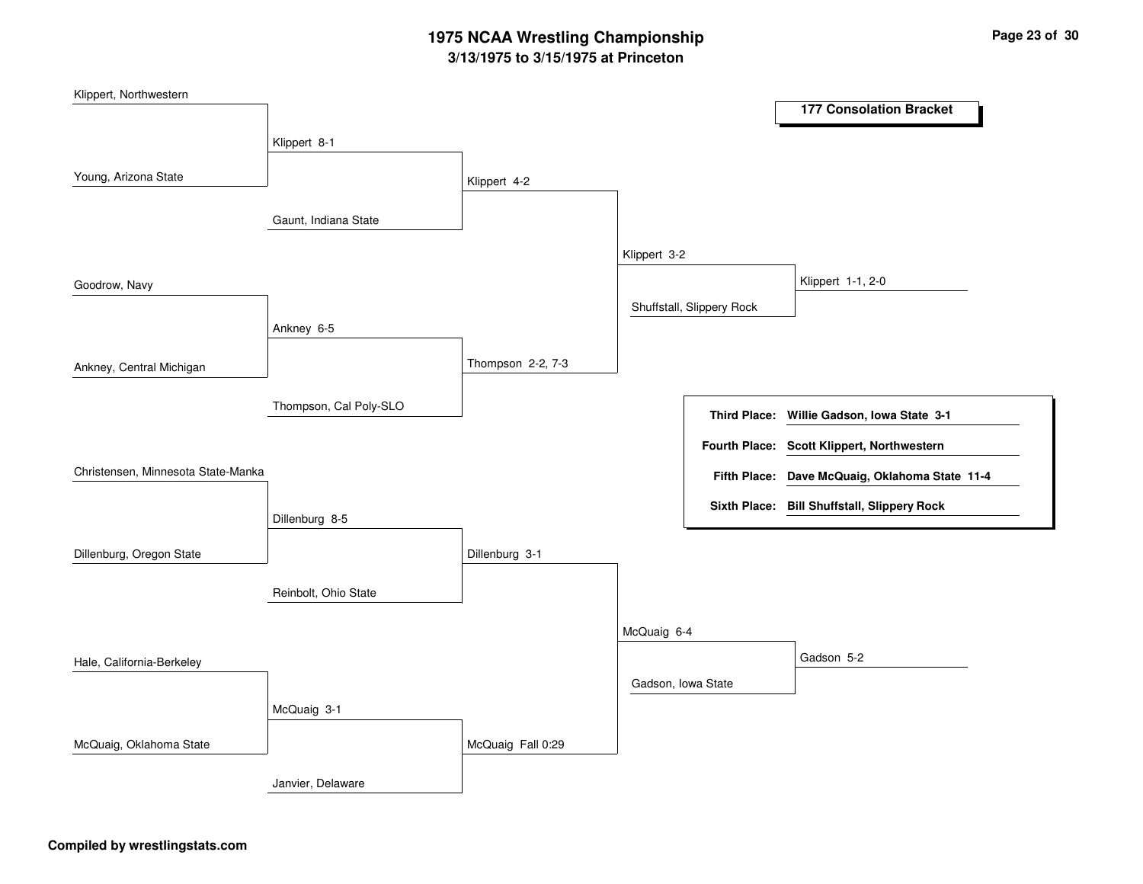| Klippert, Northwestern             |                        |                   |                    |                           | <b>177 Consolation Bracket</b>                 |
|------------------------------------|------------------------|-------------------|--------------------|---------------------------|------------------------------------------------|
|                                    | Klippert 8-1           |                   |                    |                           |                                                |
|                                    |                        |                   |                    |                           |                                                |
| Young, Arizona State               |                        | Klippert 4-2      |                    |                           |                                                |
|                                    | Gaunt, Indiana State   |                   |                    |                           |                                                |
|                                    |                        |                   | Klippert 3-2       |                           |                                                |
| Goodrow, Navy                      |                        |                   |                    |                           | Klippert 1-1, 2-0                              |
|                                    |                        |                   |                    | Shuffstall, Slippery Rock |                                                |
|                                    | Ankney 6-5             |                   |                    |                           |                                                |
| Ankney, Central Michigan           |                        | Thompson 2-2, 7-3 |                    |                           |                                                |
|                                    | Thompson, Cal Poly-SLO |                   |                    | <b>Third Place:</b>       | Willie Gadson, Iowa State 3-1                  |
|                                    |                        |                   |                    |                           | Fourth Place: Scott Klippert, Northwestern     |
| Christensen, Minnesota State-Manka |                        |                   |                    |                           | Fifth Place: Dave McQuaig, Oklahoma State 11-4 |
|                                    |                        |                   |                    |                           | Sixth Place: Bill Shuffstall, Slippery Rock    |
|                                    | Dillenburg 8-5         |                   |                    |                           |                                                |
| Dillenburg, Oregon State           |                        | Dillenburg 3-1    |                    |                           |                                                |
|                                    | Reinbolt, Ohio State   |                   |                    |                           |                                                |
|                                    |                        |                   |                    |                           |                                                |
|                                    |                        |                   | McQuaig 6-4        |                           |                                                |
| Hale, California-Berkeley          |                        |                   |                    |                           | Gadson 5-2                                     |
|                                    |                        |                   | Gadson, Iowa State |                           |                                                |
|                                    | McQuaig 3-1            |                   |                    |                           |                                                |
| McQuaig, Oklahoma State            |                        | McQuaig Fall 0:29 |                    |                           |                                                |
|                                    | Janvier, Delaware      |                   |                    |                           |                                                |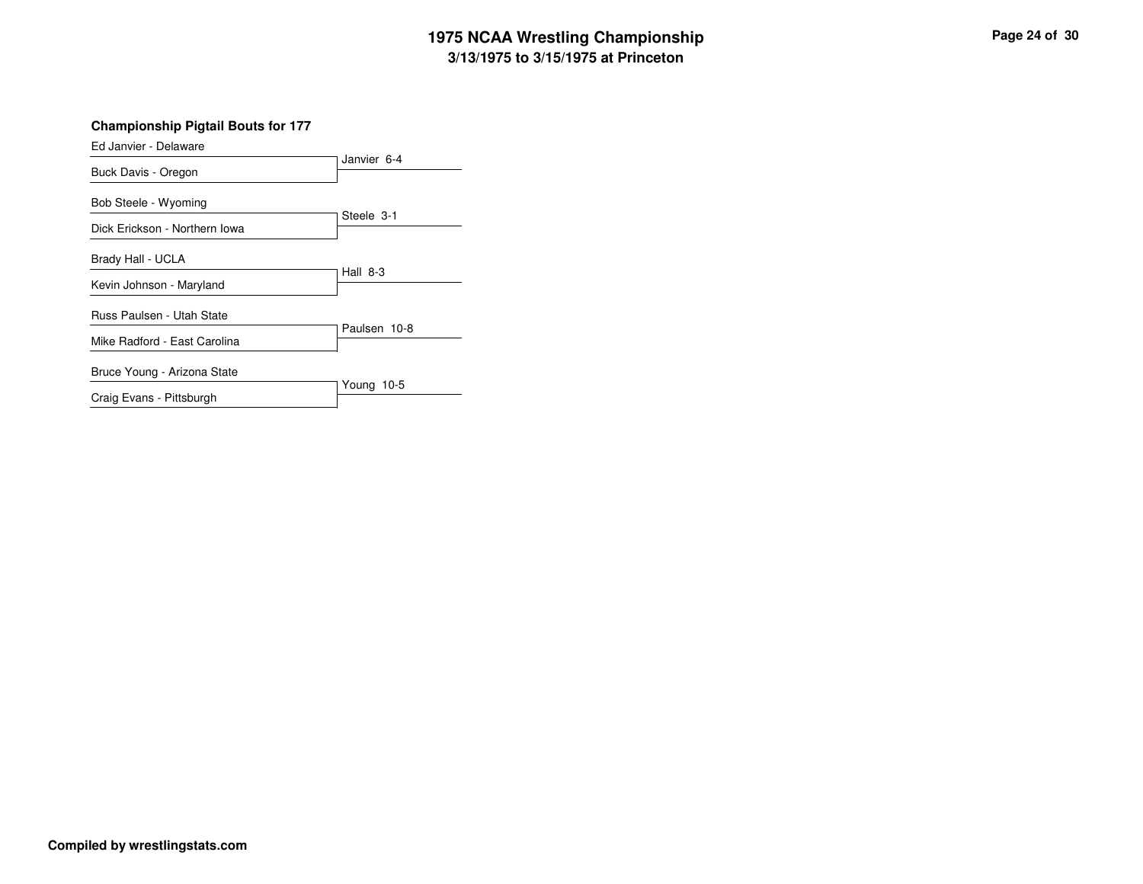**Championship Pigtail Bouts for 177**

| Ed Janvier - Delaware         |              |
|-------------------------------|--------------|
| Buck Davis - Oregon           | Janvier 6-4  |
| Bob Steele - Wyoming          | Steele 3-1   |
| Dick Erickson - Northern Iowa |              |
| Brady Hall - UCLA             |              |
| Kevin Johnson - Maryland      | Hall $8-3$   |
| Russ Paulsen - Utah State     |              |
| Mike Radford - East Carolina  | Paulsen 10-8 |
| Bruce Young - Arizona State   |              |
| Craig Evans - Pittsburgh      | Young 10-5   |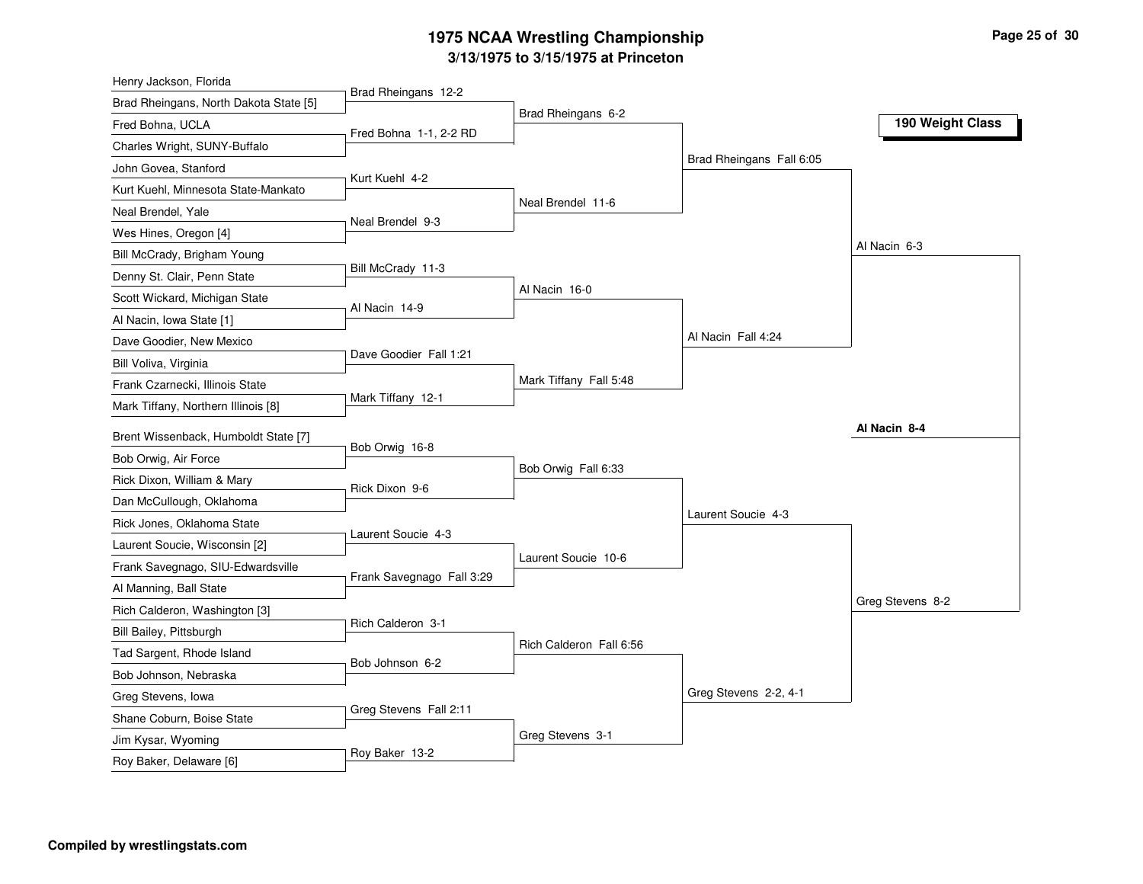| Henry Jackson, Florida                 |                           |                         |                          |                  |
|----------------------------------------|---------------------------|-------------------------|--------------------------|------------------|
| Brad Rheingans, North Dakota State [5] | Brad Rheingans 12-2       |                         |                          |                  |
| Fred Bohna, UCLA                       | Fred Bohna 1-1, 2-2 RD    | Brad Rheingans 6-2      |                          | 190 Weight Class |
| Charles Wright, SUNY-Buffalo           |                           |                         |                          |                  |
| John Govea, Stanford                   |                           |                         | Brad Rheingans Fall 6:05 |                  |
| Kurt Kuehl, Minnesota State-Mankato    | Kurt Kuehl 4-2            |                         |                          |                  |
| Neal Brendel, Yale                     |                           | Neal Brendel 11-6       |                          |                  |
| Wes Hines, Oregon [4]                  | Neal Brendel 9-3          |                         |                          |                  |
| Bill McCrady, Brigham Young            |                           |                         |                          | Al Nacin 6-3     |
| Denny St. Clair, Penn State            | Bill McCrady 11-3         |                         |                          |                  |
| Scott Wickard, Michigan State          | Al Nacin 14-9             | Al Nacin 16-0           |                          |                  |
| Al Nacin, Iowa State [1]               |                           |                         |                          |                  |
| Dave Goodier, New Mexico               |                           |                         | Al Nacin Fall 4:24       |                  |
| Bill Voliva, Virginia                  | Dave Goodier Fall 1:21    |                         |                          |                  |
| Frank Czarnecki, Illinois State        |                           | Mark Tiffany Fall 5:48  |                          |                  |
| Mark Tiffany, Northern Illinois [8]    | Mark Tiffany 12-1         |                         |                          |                  |
| Brent Wissenback, Humboldt State [7]   |                           |                         |                          | Al Nacin 8-4     |
| Bob Orwig, Air Force                   | Bob Orwig 16-8            |                         |                          |                  |
| Rick Dixon, William & Mary             |                           | Bob Orwig Fall 6:33     |                          |                  |
| Dan McCullough, Oklahoma               | Rick Dixon 9-6            |                         |                          |                  |
| Rick Jones, Oklahoma State             |                           |                         | Laurent Soucie 4-3       |                  |
| Laurent Soucie, Wisconsin [2]          | Laurent Soucie 4-3        |                         |                          |                  |
| Frank Savegnago, SIU-Edwardsville      |                           | Laurent Soucie 10-6     |                          |                  |
| Al Manning, Ball State                 | Frank Savegnago Fall 3:29 |                         |                          |                  |
| Rich Calderon, Washington [3]          |                           |                         |                          | Greg Stevens 8-2 |
| Bill Bailey, Pittsburgh                | Rich Calderon 3-1         |                         |                          |                  |
| Tad Sargent, Rhode Island              |                           | Rich Calderon Fall 6:56 |                          |                  |
| Bob Johnson, Nebraska                  | Bob Johnson 6-2           |                         |                          |                  |
| Greg Stevens, lowa                     |                           |                         | Greg Stevens 2-2, 4-1    |                  |
| Shane Coburn, Boise State              | Greg Stevens Fall 2:11    |                         |                          |                  |
| Jim Kysar, Wyoming                     |                           | Greg Stevens 3-1        |                          |                  |
|                                        | Roy Baker 13-2            |                         |                          |                  |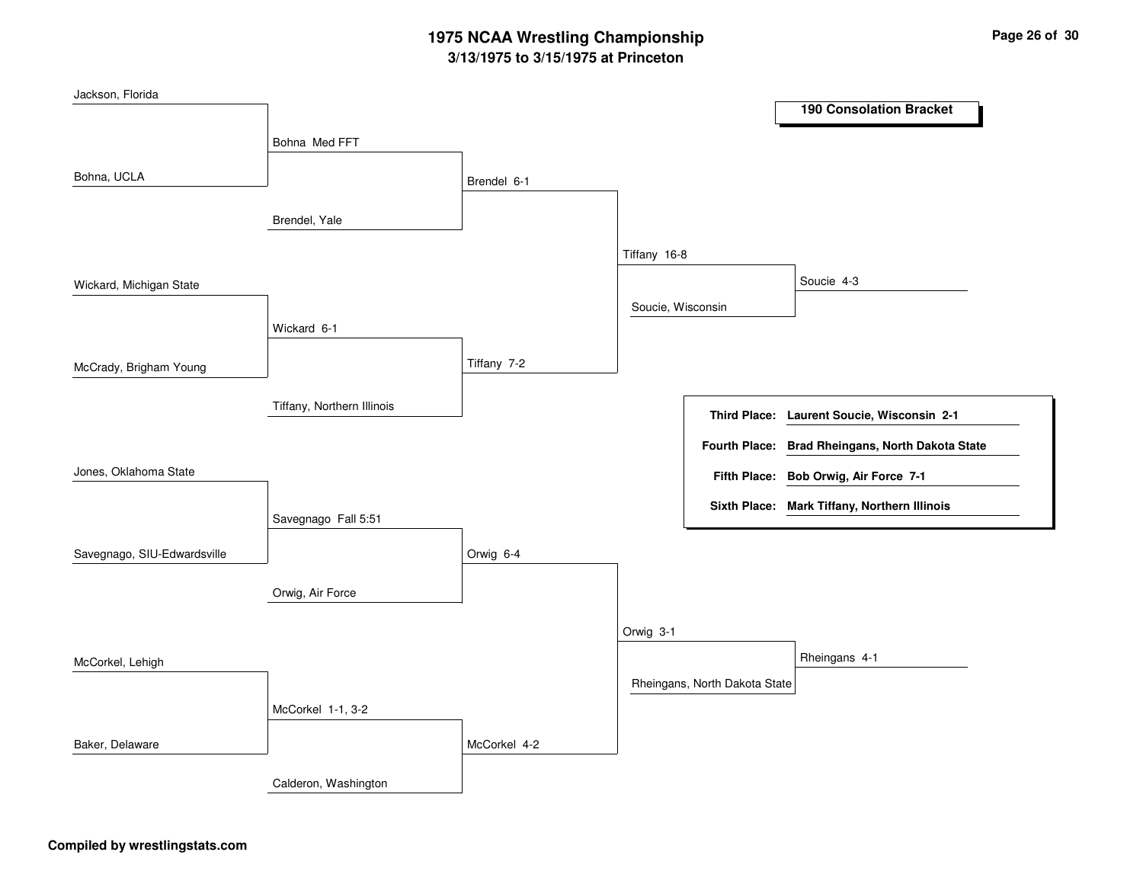| Jackson, Florida            |                            |              |                   |                               | <b>190 Consolation Bracket</b>                   |
|-----------------------------|----------------------------|--------------|-------------------|-------------------------------|--------------------------------------------------|
|                             |                            |              |                   |                               |                                                  |
|                             | Bohna Med FFT              |              |                   |                               |                                                  |
| Bohna, UCLA                 |                            | Brendel 6-1  |                   |                               |                                                  |
|                             |                            |              |                   |                               |                                                  |
|                             | Brendel, Yale              |              |                   |                               |                                                  |
|                             |                            |              | Tiffany 16-8      |                               |                                                  |
| Wickard, Michigan State     |                            |              |                   |                               | Soucie 4-3                                       |
|                             |                            |              | Soucie, Wisconsin |                               |                                                  |
|                             | Wickard 6-1                |              |                   |                               |                                                  |
| McCrady, Brigham Young      |                            | Tiffany 7-2  |                   |                               |                                                  |
|                             |                            |              |                   |                               |                                                  |
|                             | Tiffany, Northern Illinois |              |                   |                               | Third Place: Laurent Soucie, Wisconsin 2-1       |
|                             |                            |              |                   |                               | Fourth Place: Brad Rheingans, North Dakota State |
| Jones, Oklahoma State       |                            |              |                   |                               |                                                  |
|                             |                            |              |                   |                               | Fifth Place: Bob Orwig, Air Force 7-1            |
|                             | Savegnago Fall 5:51        |              |                   |                               | Sixth Place: Mark Tiffany, Northern Illinois     |
| Savegnago, SIU-Edwardsville |                            |              |                   |                               |                                                  |
|                             |                            | Orwig 6-4    |                   |                               |                                                  |
|                             | Orwig, Air Force           |              |                   |                               |                                                  |
|                             |                            |              | Orwig 3-1         |                               |                                                  |
|                             |                            |              |                   |                               | Rheingans 4-1                                    |
| McCorkel, Lehigh            |                            |              |                   | Rheingans, North Dakota State |                                                  |
|                             | McCorkel 1-1, 3-2          |              |                   |                               |                                                  |
|                             |                            |              |                   |                               |                                                  |
| Baker, Delaware             |                            | McCorkel 4-2 |                   |                               |                                                  |
|                             | Calderon, Washington       |              |                   |                               |                                                  |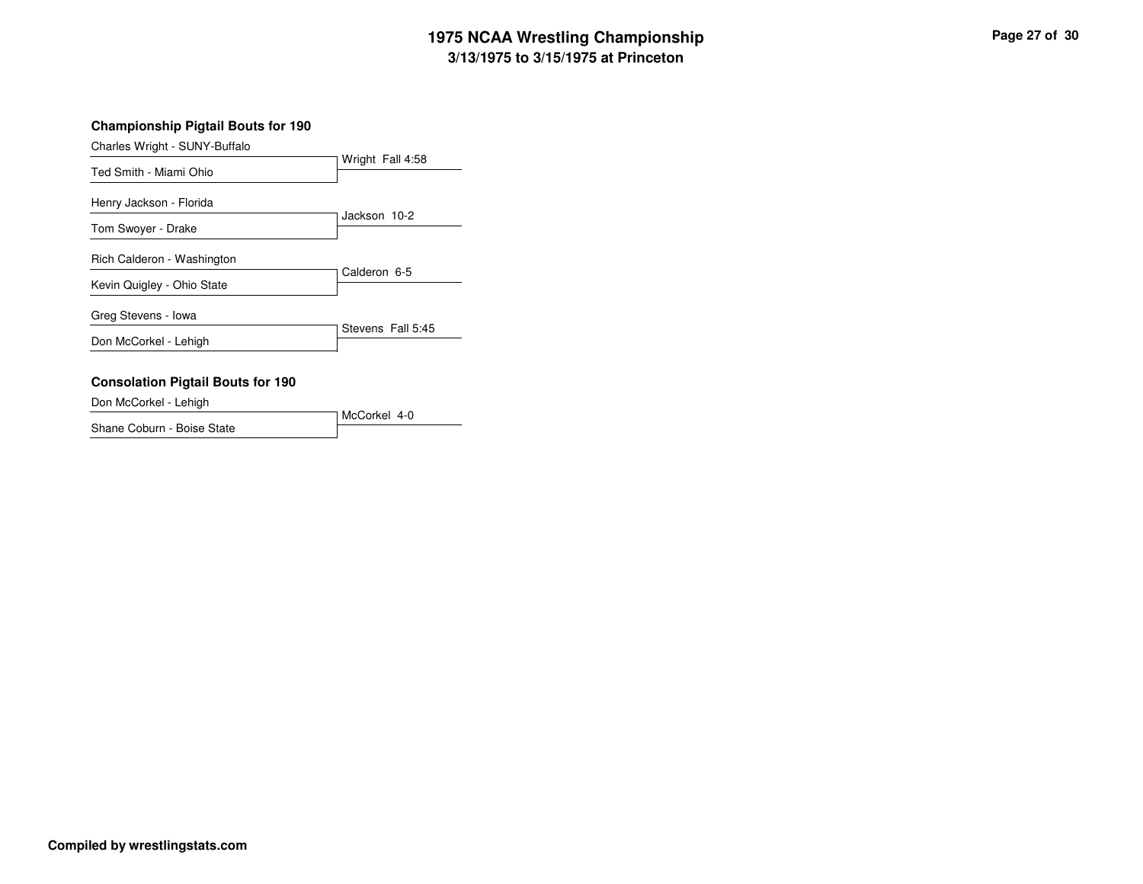### **Championship Pigtail Bouts for 190**

Charles Wright - SUNY-Buffalo

|                            | Wright Fall 4:58  |
|----------------------------|-------------------|
| Ted Smith - Miami Ohio     |                   |
| Henry Jackson - Florida    |                   |
| Tom Swoyer - Drake         | Jackson 10-2      |
| Rich Calderon - Washington |                   |
| Kevin Quigley - Ohio State | Calderon 6-5      |
| Greg Stevens - Iowa        |                   |
| Don McCorkel - Lehigh      | Stevens Fall 5:45 |

### **Consolation Pigtail Bouts for 190**

Don McCorkel - Lehigh

McCorkel 4-0Shane Coburn - Boise State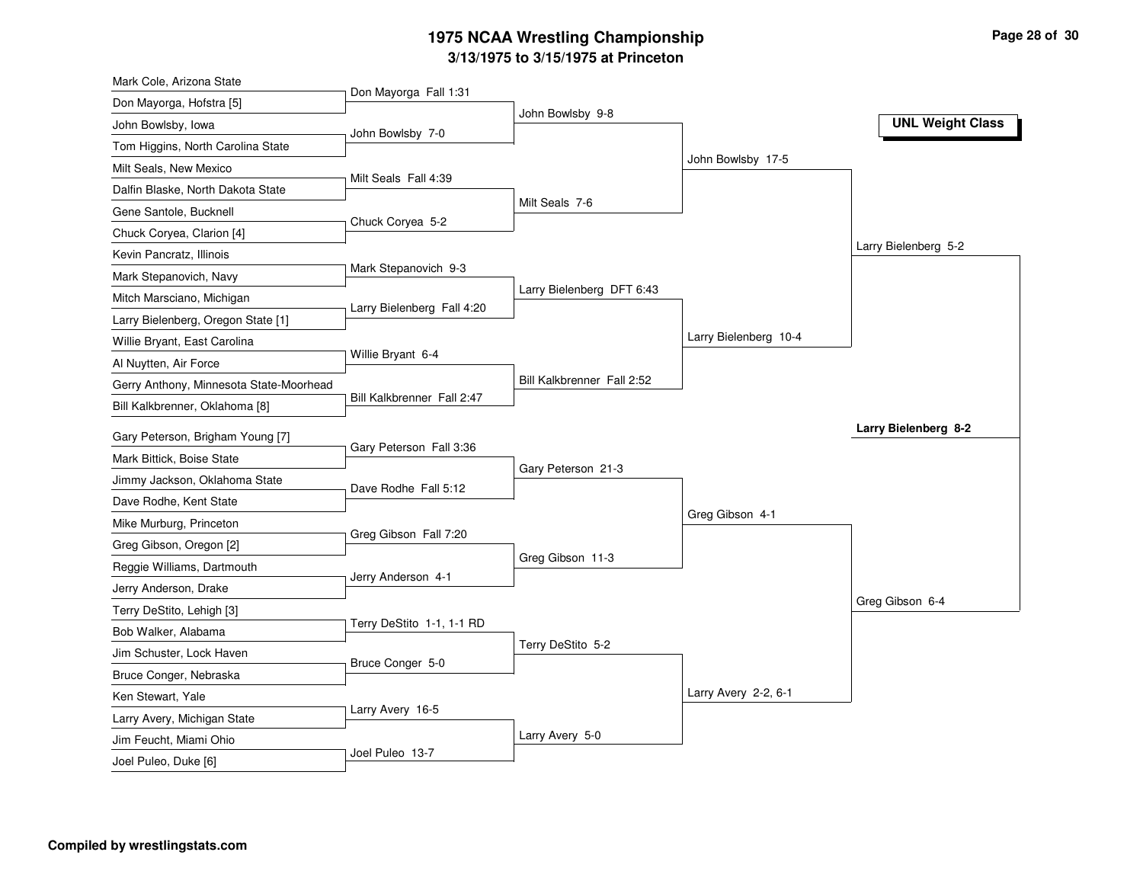| Mark Cole, Arizona State                |                            |                            |                       |                         |
|-----------------------------------------|----------------------------|----------------------------|-----------------------|-------------------------|
| Don Mayorga, Hofstra [5]                | Don Mayorga Fall 1:31      |                            |                       |                         |
| John Bowlsby, Iowa                      | John Bowlsby 7-0           | John Bowlsby 9-8           |                       | <b>UNL Weight Class</b> |
| Tom Higgins, North Carolina State       |                            |                            |                       |                         |
| Milt Seals, New Mexico                  |                            |                            | John Bowlsby 17-5     |                         |
| Dalfin Blaske, North Dakota State       | Milt Seals Fall 4:39       |                            |                       |                         |
| Gene Santole, Bucknell                  |                            | Milt Seals 7-6             |                       |                         |
| Chuck Coryea, Clarion [4]               | Chuck Coryea 5-2           |                            |                       |                         |
| Kevin Pancratz, Illinois                |                            |                            |                       | Larry Bielenberg 5-2    |
| Mark Stepanovich, Navy                  | Mark Stepanovich 9-3       |                            |                       |                         |
| Mitch Marsciano, Michigan               |                            | Larry Bielenberg DFT 6:43  |                       |                         |
| Larry Bielenberg, Oregon State [1]      | Larry Bielenberg Fall 4:20 |                            |                       |                         |
| Willie Bryant, East Carolina            |                            |                            | Larry Bielenberg 10-4 |                         |
| Al Nuytten, Air Force                   | Willie Bryant 6-4          |                            |                       |                         |
| Gerry Anthony, Minnesota State-Moorhead |                            | Bill Kalkbrenner Fall 2:52 |                       |                         |
| Bill Kalkbrenner, Oklahoma [8]          | Bill Kalkbrenner Fall 2:47 |                            |                       |                         |
|                                         |                            |                            |                       | Larry Bielenberg 8-2    |
| Gary Peterson, Brigham Young [7]        | Gary Peterson Fall 3:36    |                            |                       |                         |
| Mark Bittick, Boise State               |                            | Gary Peterson 21-3         |                       |                         |
| Jimmy Jackson, Oklahoma State           | Dave Rodhe Fall 5:12       |                            |                       |                         |
| Dave Rodhe, Kent State                  |                            |                            | Greg Gibson 4-1       |                         |
| Mike Murburg, Princeton                 | Greg Gibson Fall 7:20      |                            |                       |                         |
| Greg Gibson, Oregon [2]                 |                            | Greg Gibson 11-3           |                       |                         |
| Reggie Williams, Dartmouth              | Jerry Anderson 4-1         |                            |                       |                         |
| Jerry Anderson, Drake                   |                            |                            |                       | Greg Gibson 6-4         |
| Terry DeStito, Lehigh [3]               | Terry DeStito 1-1, 1-1 RD  |                            |                       |                         |
| Bob Walker, Alabama                     |                            | Terry DeStito 5-2          |                       |                         |
| Jim Schuster, Lock Haven                | Bruce Conger 5-0           |                            |                       |                         |
| Bruce Conger, Nebraska                  |                            |                            |                       |                         |
| Ken Stewart, Yale                       | Larry Avery 16-5           |                            | Larry Avery 2-2, 6-1  |                         |
| Larry Avery, Michigan State             |                            |                            |                       |                         |
|                                         |                            |                            |                       |                         |
| Jim Feucht, Miami Ohio                  | Joel Puleo 13-7            | Larry Avery 5-0            |                       |                         |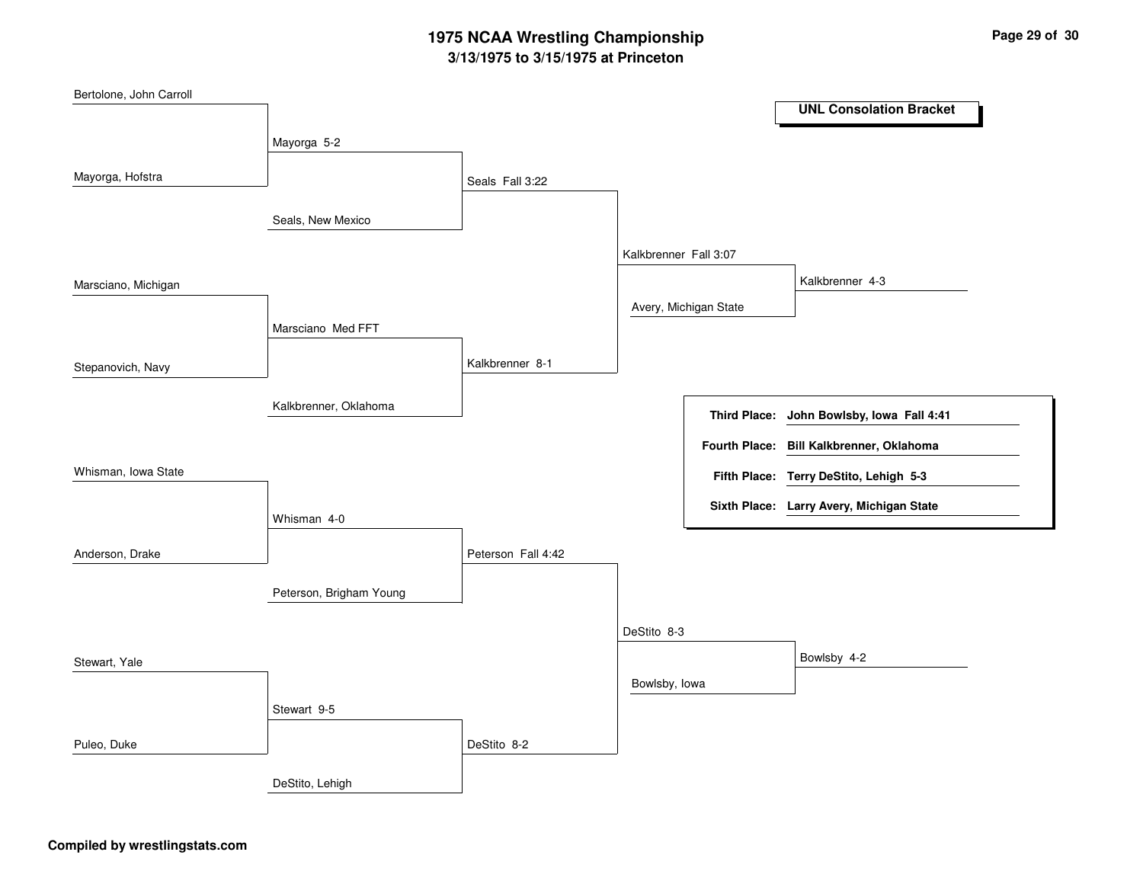| Bertolone, John Carroll |                         |                    |                       |                                           |
|-------------------------|-------------------------|--------------------|-----------------------|-------------------------------------------|
|                         |                         |                    |                       | <b>UNL Consolation Bracket</b>            |
|                         | Mayorga 5-2             |                    |                       |                                           |
|                         |                         |                    |                       |                                           |
| Mayorga, Hofstra        |                         | Seals Fall 3:22    |                       |                                           |
|                         |                         |                    |                       |                                           |
|                         | Seals, New Mexico       |                    |                       |                                           |
|                         |                         |                    | Kalkbrenner Fall 3:07 |                                           |
| Marsciano, Michigan     |                         |                    |                       | Kalkbrenner 4-3                           |
|                         |                         |                    | Avery, Michigan State |                                           |
|                         | Marsciano Med FFT       |                    |                       |                                           |
|                         |                         |                    |                       |                                           |
| Stepanovich, Navy       |                         | Kalkbrenner 8-1    |                       |                                           |
|                         |                         |                    |                       |                                           |
|                         | Kalkbrenner, Oklahoma   |                    |                       | Third Place: John Bowlsby, Iowa Fall 4:41 |
|                         |                         |                    |                       | Fourth Place: Bill Kalkbrenner, Oklahoma  |
|                         |                         |                    |                       |                                           |
| Whisman, Iowa State     |                         |                    |                       | Fifth Place: Terry DeStito, Lehigh 5-3    |
|                         |                         |                    |                       | Sixth Place: Larry Avery, Michigan State  |
|                         | Whisman 4-0             |                    |                       |                                           |
| Anderson, Drake         |                         | Peterson Fall 4:42 |                       |                                           |
|                         |                         |                    |                       |                                           |
|                         | Peterson, Brigham Young |                    |                       |                                           |
|                         |                         |                    |                       |                                           |
|                         |                         |                    | DeStito 8-3           |                                           |
| Stewart, Yale           |                         |                    |                       | Bowlsby 4-2                               |
|                         |                         |                    | Bowlsby, lowa         |                                           |
|                         | Stewart 9-5             |                    |                       |                                           |
|                         |                         |                    |                       |                                           |
| Puleo, Duke             |                         | DeStito 8-2        |                       |                                           |
|                         | DeStito, Lehigh         |                    |                       |                                           |